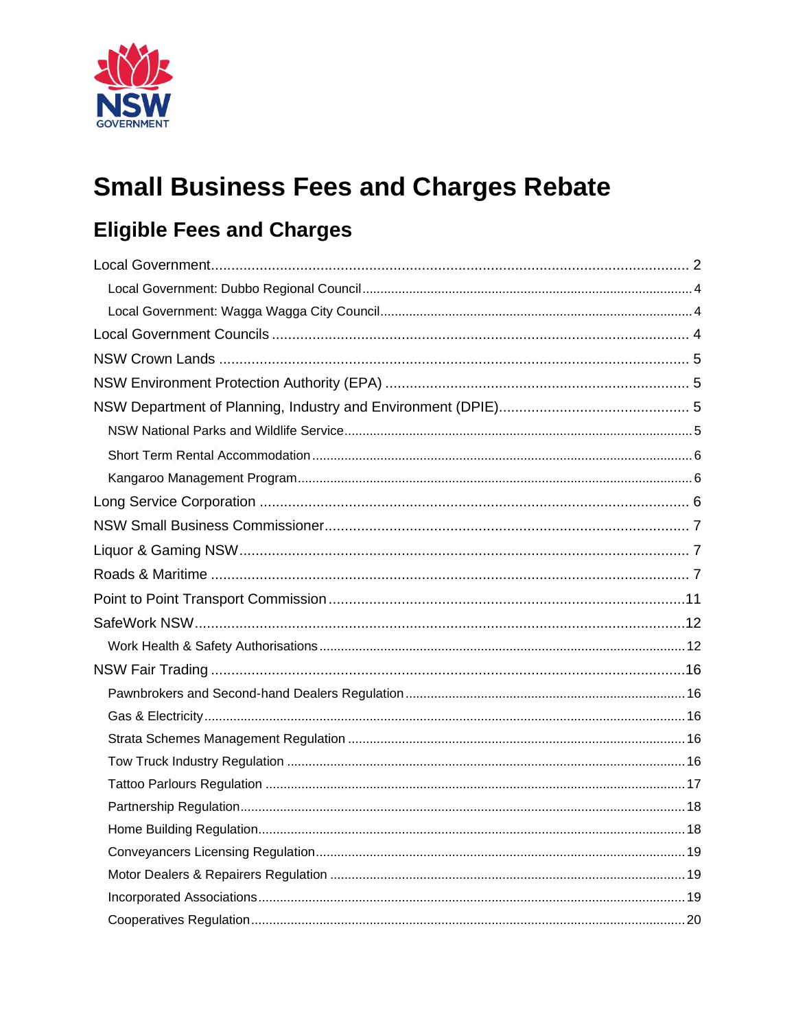

# **Small Business Fees and Charges Rebate**

# **Eligible Fees and Charges**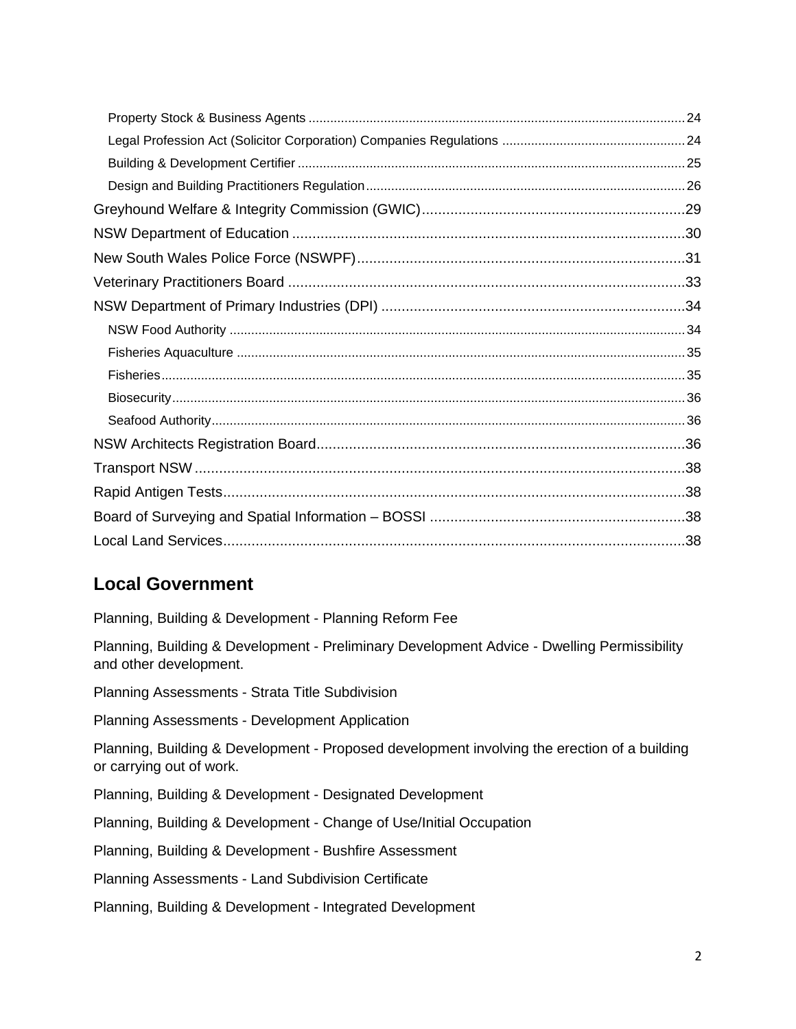# <span id="page-1-0"></span>**Local Government**

Planning, Building & Development - Planning Reform Fee

Planning, Building & Development - Preliminary Development Advice - Dwelling Permissibility and other development.

Planning Assessments - Strata Title Subdivision

Planning Assessments - Development Application

Planning, Building & Development - Proposed development involving the erection of a building or carrying out of work.

Planning, Building & Development - Designated Development

Planning, Building & Development - Change of Use/Initial Occupation

Planning, Building & Development - Bushfire Assessment

Planning Assessments - Land Subdivision Certificate

Planning, Building & Development - Integrated Development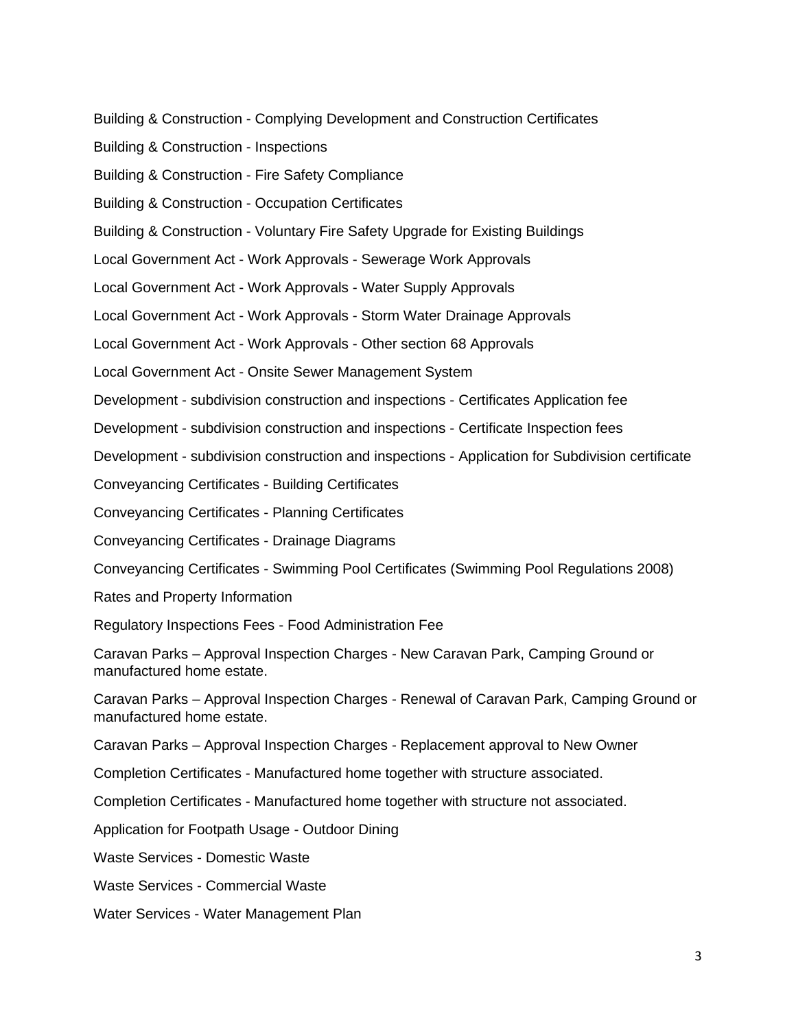Building & Construction - Complying Development and Construction Certificates

Building & Construction - Inspections

Building & Construction - Fire Safety Compliance

Building & Construction - Occupation Certificates

Building & Construction - Voluntary Fire Safety Upgrade for Existing Buildings

Local Government Act - Work Approvals - Sewerage Work Approvals

Local Government Act - Work Approvals - Water Supply Approvals

Local Government Act - Work Approvals - Storm Water Drainage Approvals

Local Government Act - Work Approvals - Other section 68 Approvals

Local Government Act - Onsite Sewer Management System

Development - subdivision construction and inspections - Certificates Application fee

Development - subdivision construction and inspections - Certificate Inspection fees

Development - subdivision construction and inspections - Application for Subdivision certificate

Conveyancing Certificates - Building Certificates

Conveyancing Certificates - Planning Certificates

Conveyancing Certificates - Drainage Diagrams

Conveyancing Certificates - Swimming Pool Certificates (Swimming Pool Regulations 2008)

Rates and Property Information

Regulatory Inspections Fees - Food Administration Fee

Caravan Parks – Approval Inspection Charges - New Caravan Park, Camping Ground or manufactured home estate.

Caravan Parks – Approval Inspection Charges - Renewal of Caravan Park, Camping Ground or manufactured home estate.

Caravan Parks – Approval Inspection Charges - Replacement approval to New Owner

Completion Certificates - Manufactured home together with structure associated.

Completion Certificates - Manufactured home together with structure not associated.

Application for Footpath Usage - Outdoor Dining

Waste Services - Domestic Waste

Waste Services - Commercial Waste

Water Services - Water Management Plan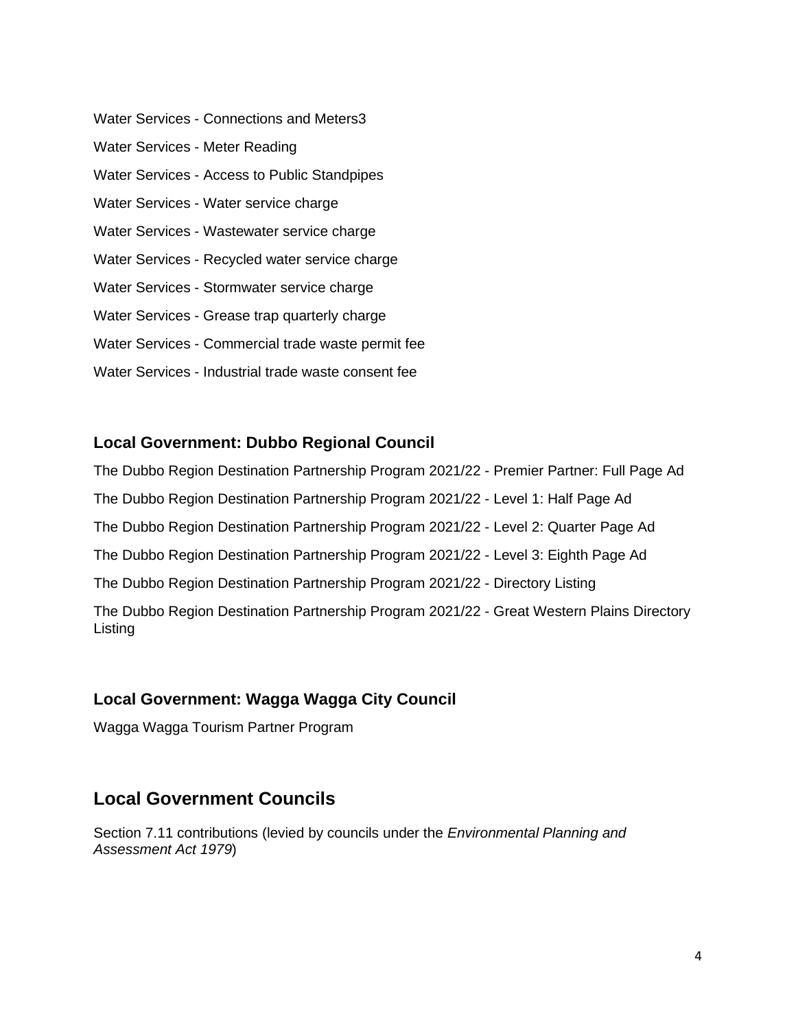Water Services - Connections and Meters3 Water Services - Meter Reading Water Services - Access to Public Standpipes Water Services - Water service charge Water Services - Wastewater service charge Water Services - Recycled water service charge Water Services - Stormwater service charge Water Services - Grease trap quarterly charge Water Services - Commercial trade waste permit fee Water Services - Industrial trade waste consent fee

#### <span id="page-3-0"></span>**Local Government: Dubbo Regional Council**

The Dubbo Region Destination Partnership Program 2021/22 - Premier Partner: Full Page Ad The Dubbo Region Destination Partnership Program 2021/22 - Level 1: Half Page Ad The Dubbo Region Destination Partnership Program 2021/22 - Level 2: Quarter Page Ad The Dubbo Region Destination Partnership Program 2021/22 - Level 3: Eighth Page Ad The Dubbo Region Destination Partnership Program 2021/22 - Directory Listing The Dubbo Region Destination Partnership Program 2021/22 - Great Western Plains Directory Listing

#### <span id="page-3-1"></span>**Local Government: Wagga Wagga City Council**

Wagga Wagga Tourism Partner Program

## <span id="page-3-2"></span>**Local Government Councils**

Section 7.11 contributions (levied by councils under the *Environmental Planning and Assessment Act 1979*)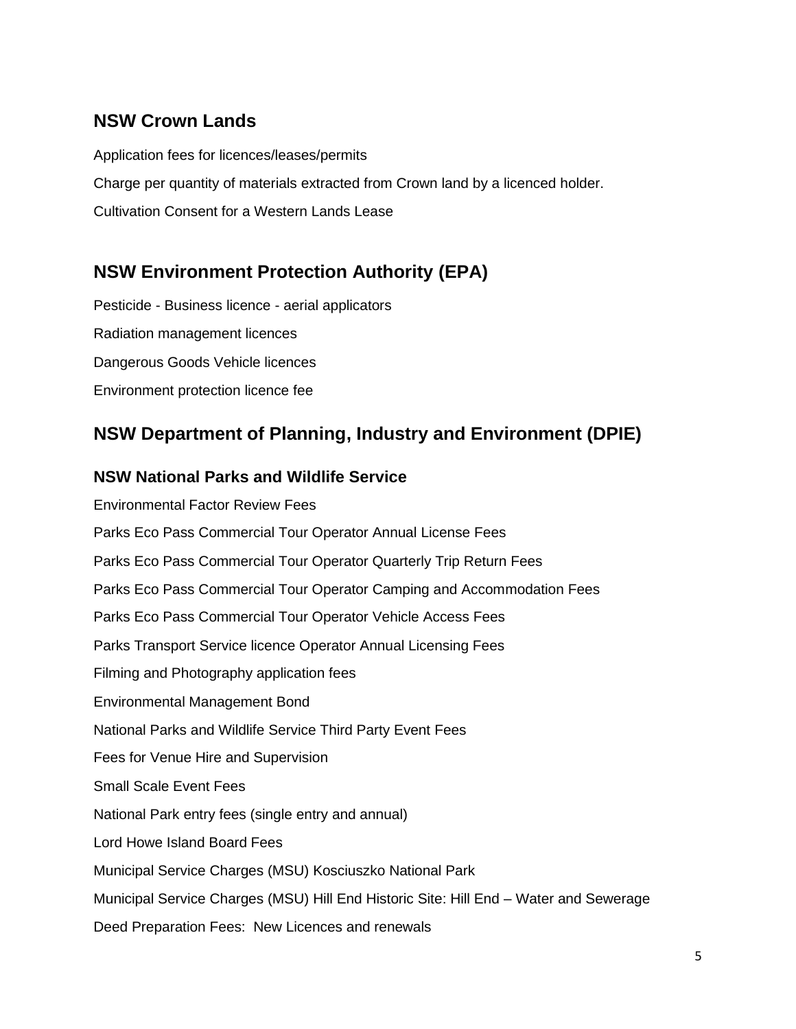## <span id="page-4-0"></span>**NSW Crown Lands**

Application fees for licences/leases/permits Charge per quantity of materials extracted from Crown land by a licenced holder. Cultivation Consent for a Western Lands Lease

# <span id="page-4-1"></span>**NSW Environment Protection Authority (EPA)**

Pesticide - Business licence - aerial applicators Radiation management licences Dangerous Goods Vehicle licences Environment protection licence fee

# <span id="page-4-2"></span>**NSW Department of Planning, Industry and Environment (DPIE)**

#### <span id="page-4-3"></span>**NSW National Parks and Wildlife Service**

Environmental Factor Review Fees Parks Eco Pass Commercial Tour Operator Annual License Fees Parks Eco Pass Commercial Tour Operator Quarterly Trip Return Fees Parks Eco Pass Commercial Tour Operator Camping and Accommodation Fees Parks Eco Pass Commercial Tour Operator Vehicle Access Fees Parks Transport Service licence Operator Annual Licensing Fees Filming and Photography application fees Environmental Management Bond National Parks and Wildlife Service Third Party Event Fees Fees for Venue Hire and Supervision Small Scale Event Fees National Park entry fees (single entry and annual) Lord Howe Island Board Fees Municipal Service Charges (MSU) Kosciuszko National Park Municipal Service Charges (MSU) Hill End Historic Site: Hill End – Water and Sewerage Deed Preparation Fees: New Licences and renewals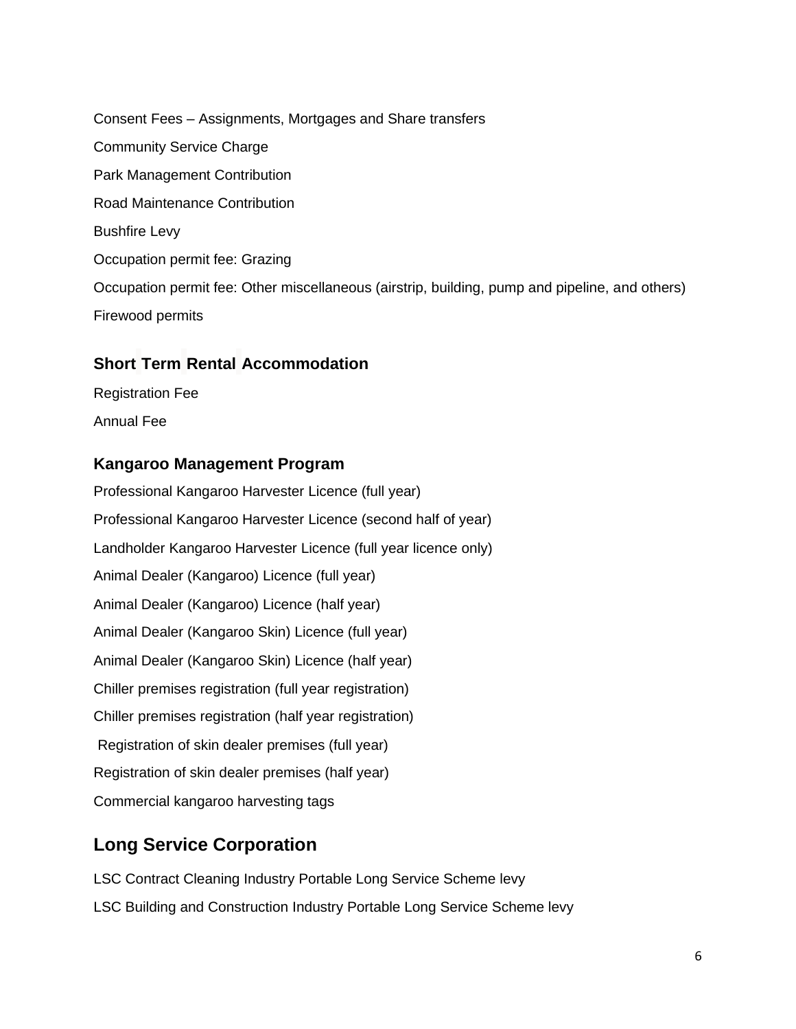Consent Fees – Assignments, Mortgages and Share transfers Community Service Charge Park Management Contribution Road Maintenance Contribution Bushfire Levy Occupation permit fee: Grazing Occupation permit fee: Other miscellaneous (airstrip, building, pump and pipeline, and others) Firewood permits

#### <span id="page-5-0"></span>**Short Term Rental Accommodation**

Registration Fee Annual Fee

#### <span id="page-5-1"></span>**Kangaroo Management Program**

Professional Kangaroo Harvester Licence (full year) Professional Kangaroo Harvester Licence (second half of year) Landholder Kangaroo Harvester Licence (full year licence only) Animal Dealer (Kangaroo) Licence (full year) Animal Dealer (Kangaroo) Licence (half year) Animal Dealer (Kangaroo Skin) Licence (full year) Animal Dealer (Kangaroo Skin) Licence (half year) Chiller premises registration (full year registration) Chiller premises registration (half year registration) Registration of skin dealer premises (full year) Registration of skin dealer premises (half year) Commercial kangaroo harvesting tags

## <span id="page-5-2"></span>**Long Service Corporation**

LSC Contract Cleaning Industry Portable Long Service Scheme levy LSC Building and Construction Industry Portable Long Service Scheme levy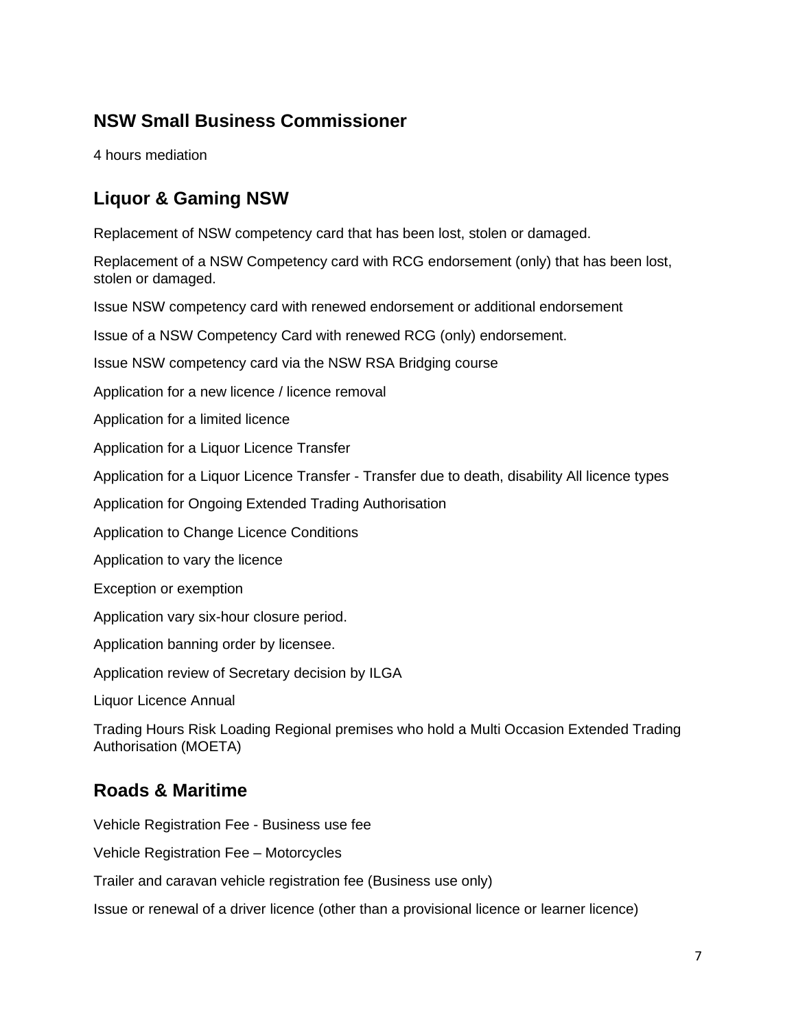# <span id="page-6-0"></span>**NSW Small Business Commissioner**

4 hours mediation

# <span id="page-6-1"></span>**Liquor & Gaming NSW**

Replacement of NSW competency card that has been lost, stolen or damaged.

Replacement of a NSW Competency card with RCG endorsement (only) that has been lost, stolen or damaged.

Issue NSW competency card with renewed endorsement or additional endorsement

Issue of a NSW Competency Card with renewed RCG (only) endorsement.

Issue NSW competency card via the NSW RSA Bridging course

Application for a new licence / licence removal

Application for a limited licence

Application for a Liquor Licence Transfer

Application for a Liquor Licence Transfer - Transfer due to death, disability All licence types

Application for Ongoing Extended Trading Authorisation

Application to Change Licence Conditions

Application to vary the licence

Exception or exemption

Application vary six-hour closure period.

Application banning order by licensee.

Application review of Secretary decision by ILGA

Liquor Licence Annual

Trading Hours Risk Loading Regional premises who hold a Multi Occasion Extended Trading Authorisation (MOETA)

# <span id="page-6-2"></span>**Roads & Maritime**

Vehicle Registration Fee - Business use fee

Vehicle Registration Fee – Motorcycles

Trailer and caravan vehicle registration fee (Business use only)

Issue or renewal of a driver licence (other than a provisional licence or learner licence)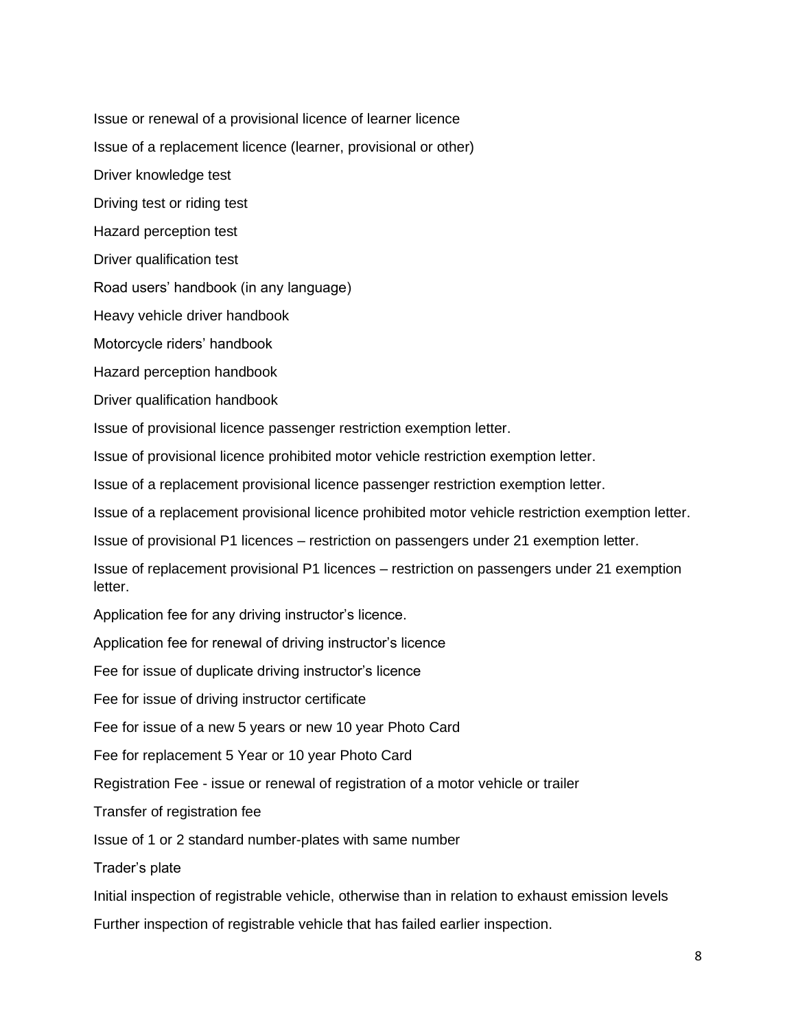Issue or renewal of a provisional licence of learner licence

Issue of a replacement licence (learner, provisional or other)

Driver knowledge test

Driving test or riding test

Hazard perception test

Driver qualification test

Road users' handbook (in any language)

Heavy vehicle driver handbook

Motorcycle riders' handbook

Hazard perception handbook

Driver qualification handbook

Issue of provisional licence passenger restriction exemption letter.

Issue of provisional licence prohibited motor vehicle restriction exemption letter.

Issue of a replacement provisional licence passenger restriction exemption letter.

Issue of a replacement provisional licence prohibited motor vehicle restriction exemption letter.

Issue of provisional P1 licences – restriction on passengers under 21 exemption letter.

Issue of replacement provisional P1 licences – restriction on passengers under 21 exemption letter.

Application fee for any driving instructor's licence.

Application fee for renewal of driving instructor's licence

Fee for issue of duplicate driving instructor's licence

Fee for issue of driving instructor certificate

Fee for issue of a new 5 years or new 10 year Photo Card

Fee for replacement 5 Year or 10 year Photo Card

Registration Fee - issue or renewal of registration of a motor vehicle or trailer

Transfer of registration fee

Issue of 1 or 2 standard number-plates with same number

Trader's plate

Initial inspection of registrable vehicle, otherwise than in relation to exhaust emission levels

Further inspection of registrable vehicle that has failed earlier inspection.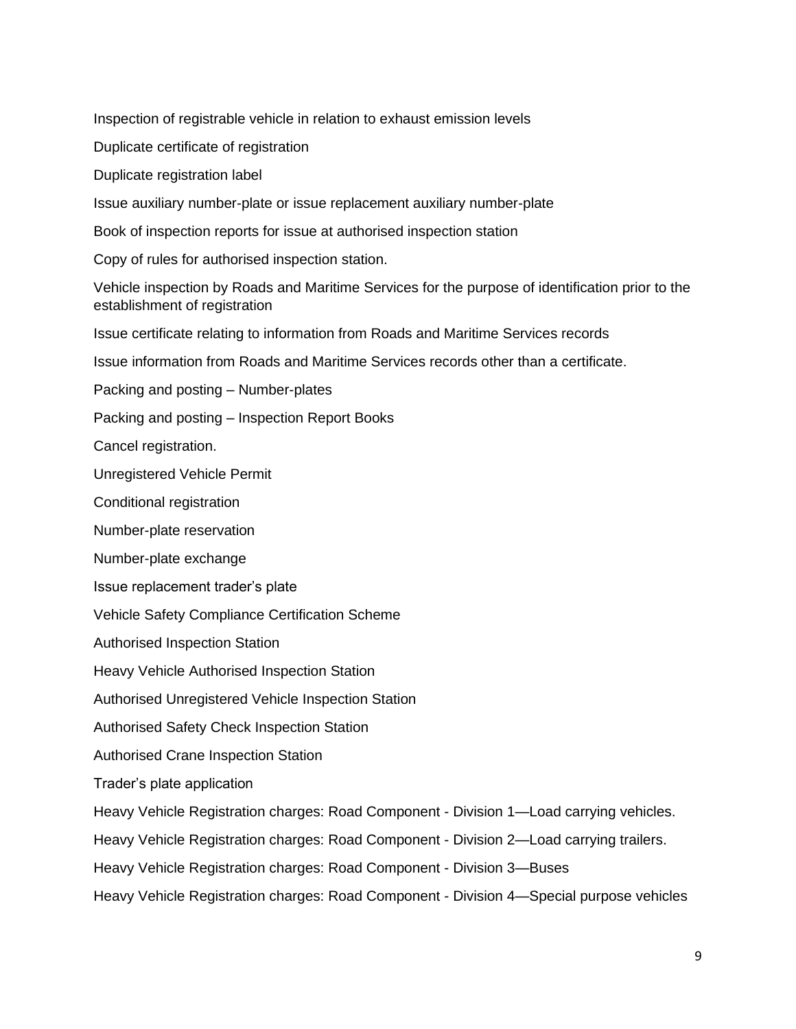Inspection of registrable vehicle in relation to exhaust emission levels

Duplicate certificate of registration

Duplicate registration label

Issue auxiliary number-plate or issue replacement auxiliary number-plate

Book of inspection reports for issue at authorised inspection station

Copy of rules for authorised inspection station.

Vehicle inspection by Roads and Maritime Services for the purpose of identification prior to the establishment of registration

Issue certificate relating to information from Roads and Maritime Services records

Issue information from Roads and Maritime Services records other than a certificate.

Packing and posting – Number-plates

Packing and posting – Inspection Report Books

Cancel registration.

Unregistered Vehicle Permit

Conditional registration

Number-plate reservation

Number-plate exchange

Issue replacement trader's plate

Vehicle Safety Compliance Certification Scheme

Authorised Inspection Station

Heavy Vehicle Authorised Inspection Station

Authorised Unregistered Vehicle Inspection Station

Authorised Safety Check Inspection Station

Authorised Crane Inspection Station

Trader's plate application

Heavy Vehicle Registration charges: Road Component - Division 1—Load carrying vehicles.

Heavy Vehicle Registration charges: Road Component - Division 2—Load carrying trailers.

Heavy Vehicle Registration charges: Road Component - Division 3—Buses

Heavy Vehicle Registration charges: Road Component - Division 4—Special purpose vehicles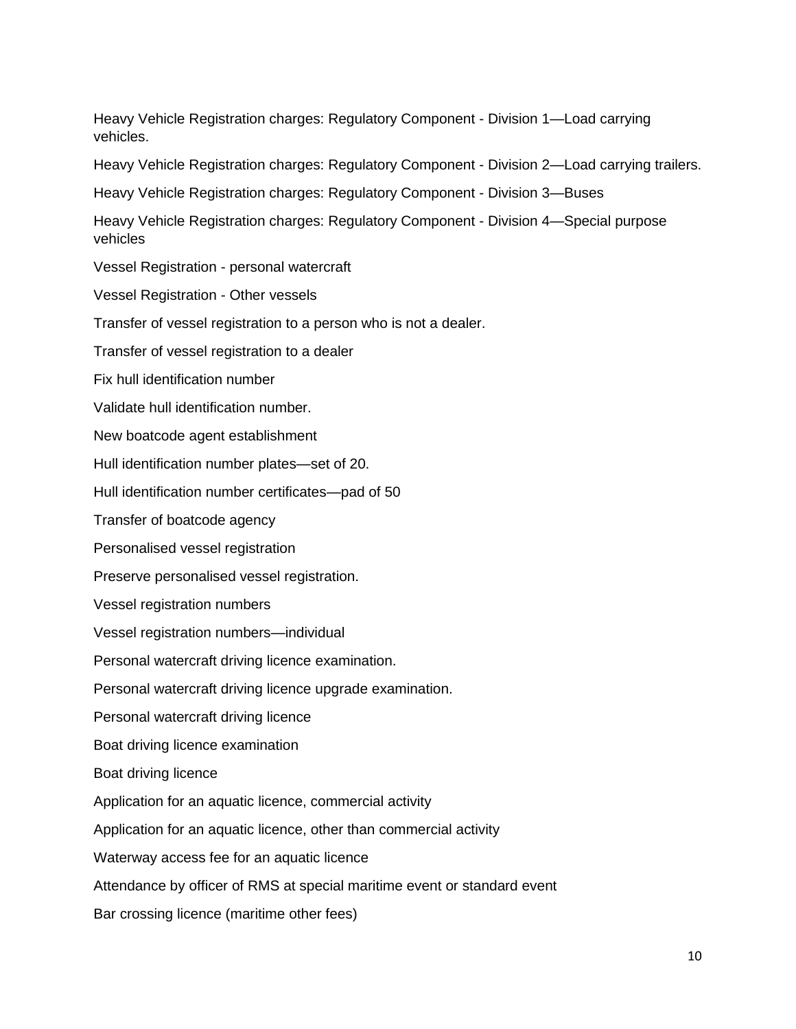Heavy Vehicle Registration charges: Regulatory Component - Division 1—Load carrying vehicles.

Heavy Vehicle Registration charges: Regulatory Component - Division 2—Load carrying trailers.

Heavy Vehicle Registration charges: Regulatory Component - Division 3—Buses

Heavy Vehicle Registration charges: Regulatory Component - Division 4—Special purpose vehicles

Vessel Registration - personal watercraft

Vessel Registration - Other vessels

Transfer of vessel registration to a person who is not a dealer.

Transfer of vessel registration to a dealer

Fix hull identification number

Validate hull identification number.

New boatcode agent establishment

Hull identification number plates—set of 20.

Hull identification number certificates—pad of 50

Transfer of boatcode agency

Personalised vessel registration

Preserve personalised vessel registration.

Vessel registration numbers

Vessel registration numbers—individual

Personal watercraft driving licence examination.

Personal watercraft driving licence upgrade examination.

Personal watercraft driving licence

Boat driving licence examination

Boat driving licence

Application for an aquatic licence, commercial activity

Application for an aquatic licence, other than commercial activity

Waterway access fee for an aquatic licence

Attendance by officer of RMS at special maritime event or standard event

Bar crossing licence (maritime other fees)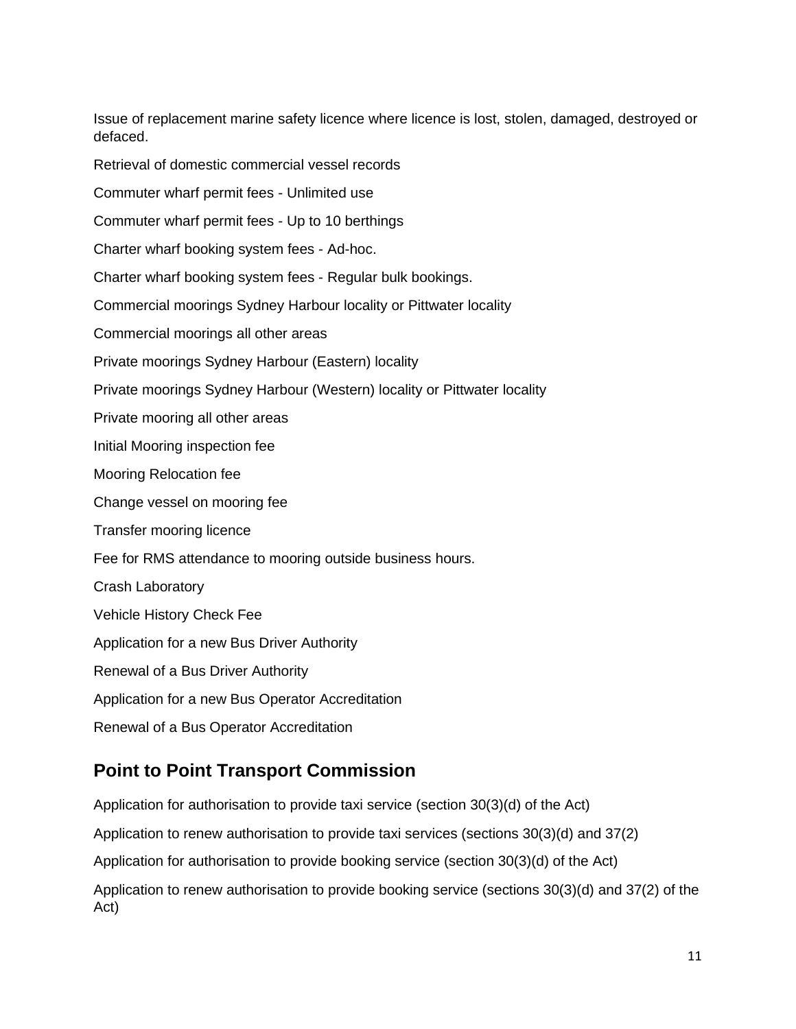Issue of replacement marine safety licence where licence is lost, stolen, damaged, destroyed or defaced.

Retrieval of domestic commercial vessel records

Commuter wharf permit fees - Unlimited use

Commuter wharf permit fees - Up to 10 berthings

Charter wharf booking system fees - Ad-hoc.

Charter wharf booking system fees - Regular bulk bookings.

Commercial moorings Sydney Harbour locality or Pittwater locality

Commercial moorings all other areas

Private moorings Sydney Harbour (Eastern) locality

Private moorings Sydney Harbour (Western) locality or Pittwater locality

Private mooring all other areas

Initial Mooring inspection fee

Mooring Relocation fee

Change vessel on mooring fee

Transfer mooring licence

Fee for RMS attendance to mooring outside business hours.

Crash Laboratory

Vehicle History Check Fee

Application for a new Bus Driver Authority

Renewal of a Bus Driver Authority

Application for a new Bus Operator Accreditation

Renewal of a Bus Operator Accreditation

## <span id="page-10-0"></span>**Point to Point Transport Commission**

Application for authorisation to provide taxi service (section 30(3)(d) of the Act) Application to renew authorisation to provide taxi services (sections 30(3)(d) and 37(2) Application for authorisation to provide booking service (section 30(3)(d) of the Act) Application to renew authorisation to provide booking service (sections 30(3)(d) and 37(2) of the Act)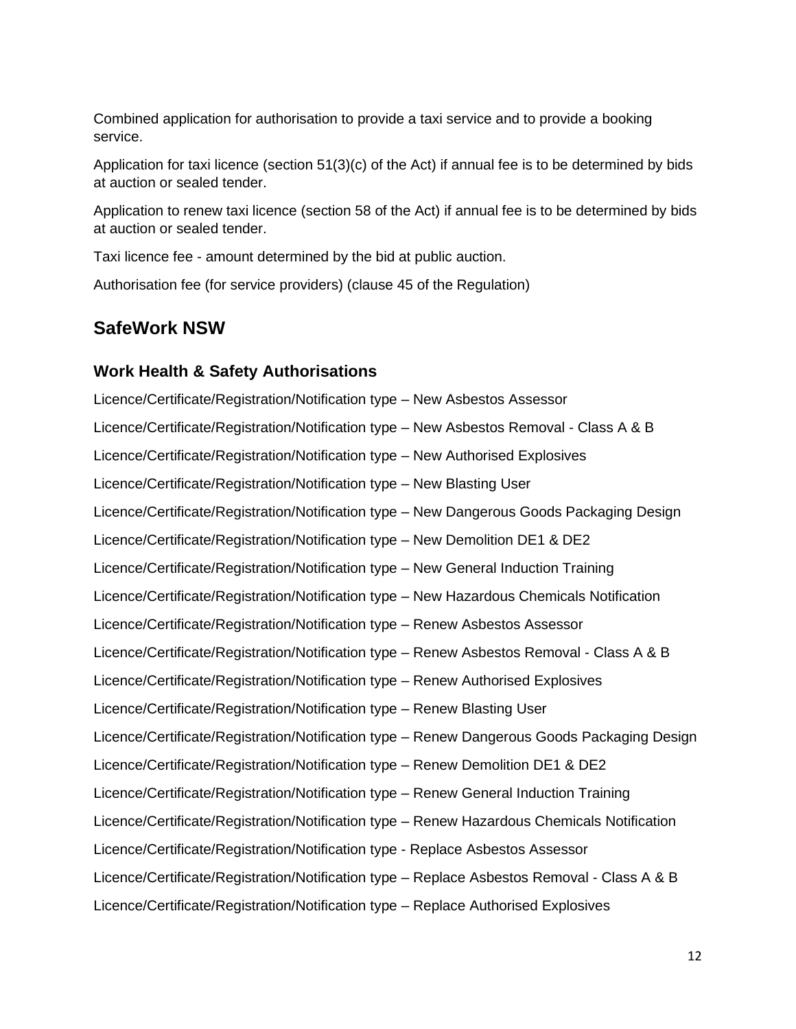Combined application for authorisation to provide a taxi service and to provide a booking service.

Application for taxi licence (section 51(3)(c) of the Act) if annual fee is to be determined by bids at auction or sealed tender.

Application to renew taxi licence (section 58 of the Act) if annual fee is to be determined by bids at auction or sealed tender.

Taxi licence fee - amount determined by the bid at public auction.

Authorisation fee (for service providers) (clause 45 of the Regulation)

## <span id="page-11-0"></span>**SafeWork NSW**

#### <span id="page-11-1"></span>**Work Health & Safety Authorisations**

Licence/Certificate/Registration/Notification type – New Asbestos Assessor Licence/Certificate/Registration/Notification type – New Asbestos Removal - Class A & B Licence/Certificate/Registration/Notification type – New Authorised Explosives Licence/Certificate/Registration/Notification type – New Blasting User Licence/Certificate/Registration/Notification type – New Dangerous Goods Packaging Design Licence/Certificate/Registration/Notification type – New Demolition DE1 & DE2 Licence/Certificate/Registration/Notification type – New General Induction Training Licence/Certificate/Registration/Notification type – New Hazardous Chemicals Notification Licence/Certificate/Registration/Notification type – Renew Asbestos Assessor Licence/Certificate/Registration/Notification type – Renew Asbestos Removal - Class A & B Licence/Certificate/Registration/Notification type – Renew Authorised Explosives Licence/Certificate/Registration/Notification type – Renew Blasting User Licence/Certificate/Registration/Notification type – Renew Dangerous Goods Packaging Design Licence/Certificate/Registration/Notification type – Renew Demolition DE1 & DE2 Licence/Certificate/Registration/Notification type – Renew General Induction Training Licence/Certificate/Registration/Notification type – Renew Hazardous Chemicals Notification Licence/Certificate/Registration/Notification type - Replace Asbestos Assessor Licence/Certificate/Registration/Notification type – Replace Asbestos Removal - Class A & B Licence/Certificate/Registration/Notification type – Replace Authorised Explosives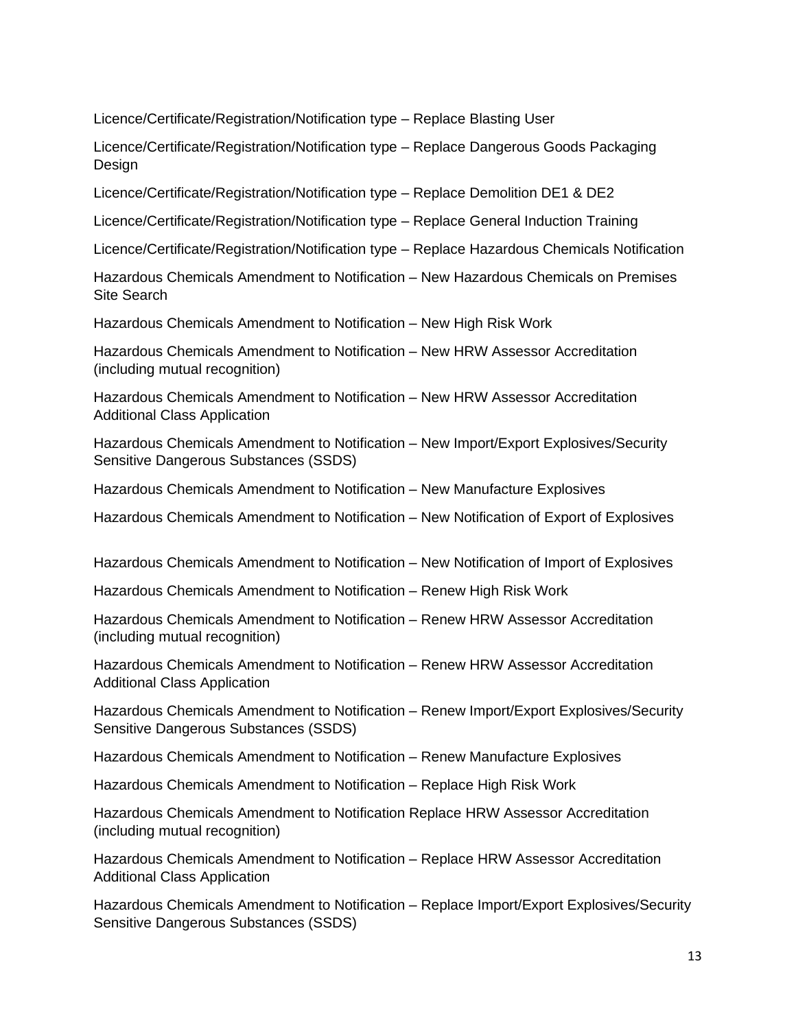Licence/Certificate/Registration/Notification type – Replace Blasting User

Licence/Certificate/Registration/Notification type – Replace Dangerous Goods Packaging Design

Licence/Certificate/Registration/Notification type – Replace Demolition DE1 & DE2

Licence/Certificate/Registration/Notification type – Replace General Induction Training

Licence/Certificate/Registration/Notification type – Replace Hazardous Chemicals Notification

Hazardous Chemicals Amendment to Notification – New Hazardous Chemicals on Premises Site Search

Hazardous Chemicals Amendment to Notification – New High Risk Work

Hazardous Chemicals Amendment to Notification – New HRW Assessor Accreditation (including mutual recognition)

Hazardous Chemicals Amendment to Notification – New HRW Assessor Accreditation Additional Class Application

Hazardous Chemicals Amendment to Notification – New Import/Export Explosives/Security Sensitive Dangerous Substances (SSDS)

Hazardous Chemicals Amendment to Notification – New Manufacture Explosives

Hazardous Chemicals Amendment to Notification – New Notification of Export of Explosives

Hazardous Chemicals Amendment to Notification – New Notification of Import of Explosives

Hazardous Chemicals Amendment to Notification – Renew High Risk Work

Hazardous Chemicals Amendment to Notification – Renew HRW Assessor Accreditation (including mutual recognition)

Hazardous Chemicals Amendment to Notification – Renew HRW Assessor Accreditation Additional Class Application

Hazardous Chemicals Amendment to Notification – Renew Import/Export Explosives/Security Sensitive Dangerous Substances (SSDS)

Hazardous Chemicals Amendment to Notification – Renew Manufacture Explosives

Hazardous Chemicals Amendment to Notification – Replace High Risk Work

Hazardous Chemicals Amendment to Notification Replace HRW Assessor Accreditation (including mutual recognition)

Hazardous Chemicals Amendment to Notification – Replace HRW Assessor Accreditation Additional Class Application

Hazardous Chemicals Amendment to Notification – Replace Import/Export Explosives/Security Sensitive Dangerous Substances (SSDS)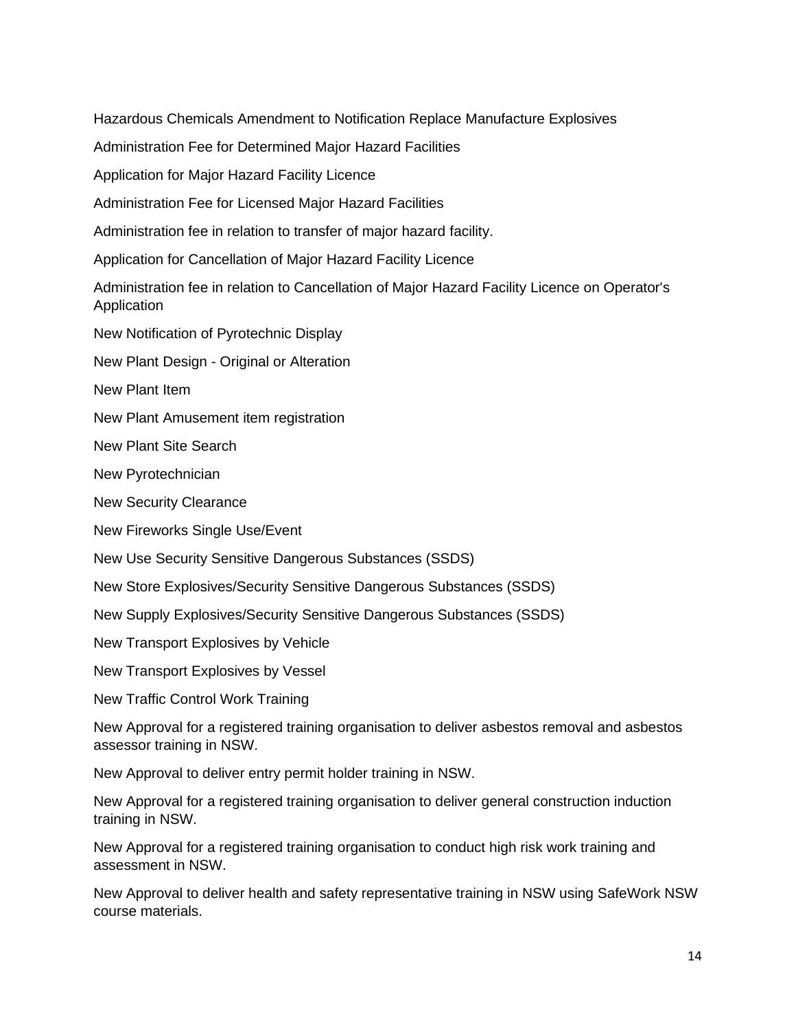Hazardous Chemicals Amendment to Notification Replace Manufacture Explosives

Administration Fee for Determined Major Hazard Facilities

Application for Major Hazard Facility Licence

Administration Fee for Licensed Major Hazard Facilities

Administration fee in relation to transfer of major hazard facility.

Application for Cancellation of Major Hazard Facility Licence

Administration fee in relation to Cancellation of Major Hazard Facility Licence on Operator's Application

New Notification of Pyrotechnic Display

New Plant Design - Original or Alteration

New Plant Item

New Plant Amusement item registration

New Plant Site Search

New Pyrotechnician

New Security Clearance

New Fireworks Single Use/Event

New Use Security Sensitive Dangerous Substances (SSDS)

New Store Explosives/Security Sensitive Dangerous Substances (SSDS)

New Supply Explosives/Security Sensitive Dangerous Substances (SSDS)

New Transport Explosives by Vehicle

New Transport Explosives by Vessel

New Traffic Control Work Training

New Approval for a registered training organisation to deliver asbestos removal and asbestos assessor training in NSW.

New Approval to deliver entry permit holder training in NSW.

New Approval for a registered training organisation to deliver general construction induction training in NSW.

New Approval for a registered training organisation to conduct high risk work training and assessment in NSW.

New Approval to deliver health and safety representative training in NSW using SafeWork NSW course materials.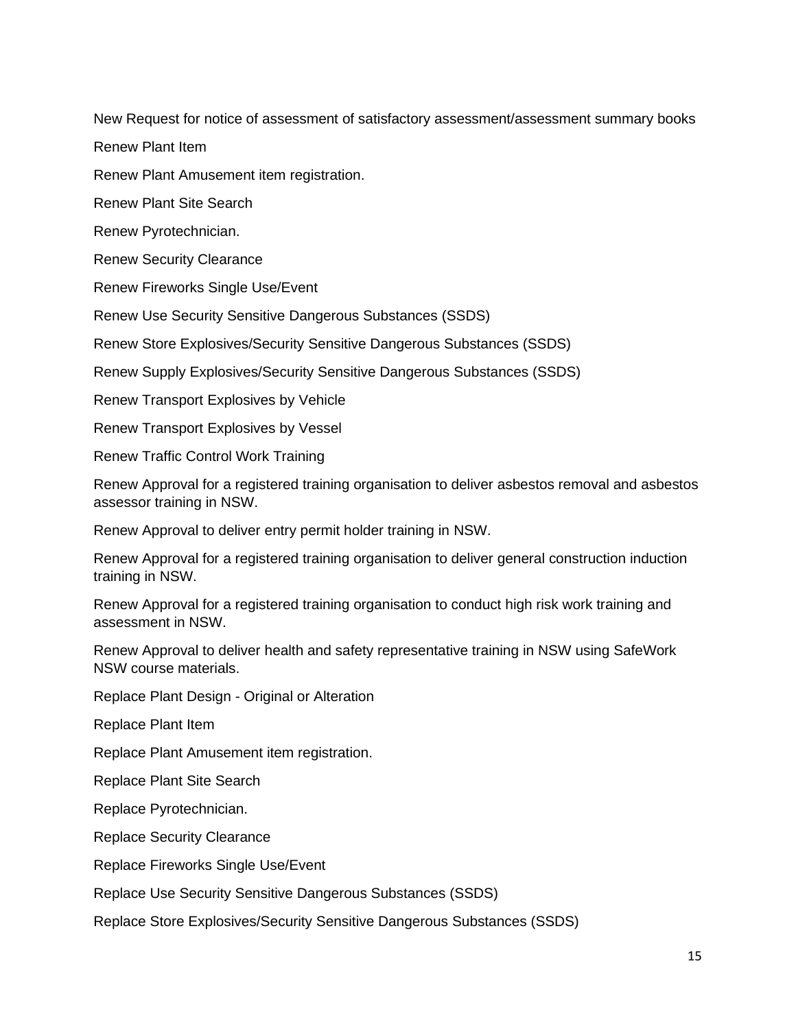New Request for notice of assessment of satisfactory assessment/assessment summary books

Renew Plant Item

Renew Plant Amusement item registration.

Renew Plant Site Search

Renew Pyrotechnician.

Renew Security Clearance

Renew Fireworks Single Use/Event

Renew Use Security Sensitive Dangerous Substances (SSDS)

Renew Store Explosives/Security Sensitive Dangerous Substances (SSDS)

Renew Supply Explosives/Security Sensitive Dangerous Substances (SSDS)

Renew Transport Explosives by Vehicle

Renew Transport Explosives by Vessel

Renew Traffic Control Work Training

Renew Approval for a registered training organisation to deliver asbestos removal and asbestos assessor training in NSW.

Renew Approval to deliver entry permit holder training in NSW.

Renew Approval for a registered training organisation to deliver general construction induction training in NSW.

Renew Approval for a registered training organisation to conduct high risk work training and assessment in NSW.

Renew Approval to deliver health and safety representative training in NSW using SafeWork NSW course materials.

Replace Plant Design - Original or Alteration

Replace Plant Item

Replace Plant Amusement item registration.

Replace Plant Site Search

Replace Pyrotechnician.

Replace Security Clearance

Replace Fireworks Single Use/Event

Replace Use Security Sensitive Dangerous Substances (SSDS)

Replace Store Explosives/Security Sensitive Dangerous Substances (SSDS)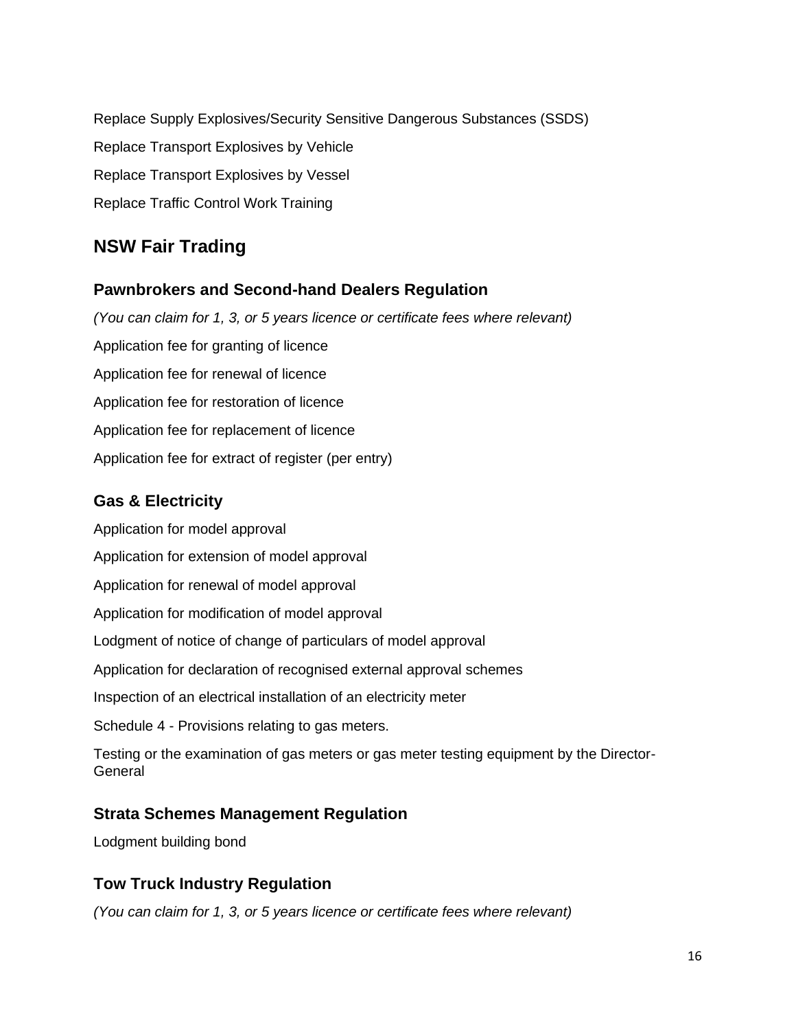Replace Supply Explosives/Security Sensitive Dangerous Substances (SSDS) Replace Transport Explosives by Vehicle Replace Transport Explosives by Vessel Replace Traffic Control Work Training

# <span id="page-15-0"></span>**NSW Fair Trading**

#### <span id="page-15-1"></span>**Pawnbrokers and Second-hand Dealers Regulation**

*(You can claim for 1, 3, or 5 years licence or certificate fees where relevant)* Application fee for granting of licence Application fee for renewal of licence Application fee for restoration of licence Application fee for replacement of licence Application fee for extract of register (per entry)

## <span id="page-15-2"></span>**Gas & Electricity**

Application for model approval Application for extension of model approval Application for renewal of model approval Application for modification of model approval Lodgment of notice of change of particulars of model approval Application for declaration of recognised external approval schemes Inspection of an electrical installation of an electricity meter Schedule 4 - Provisions relating to gas meters. Testing or the examination of gas meters or gas meter testing equipment by the Director-**General** 

#### <span id="page-15-3"></span>**Strata Schemes Management Regulation**

Lodgment building bond

## <span id="page-15-4"></span>**Tow Truck Industry Regulation**

*(You can claim for 1, 3, or 5 years licence or certificate fees where relevant)*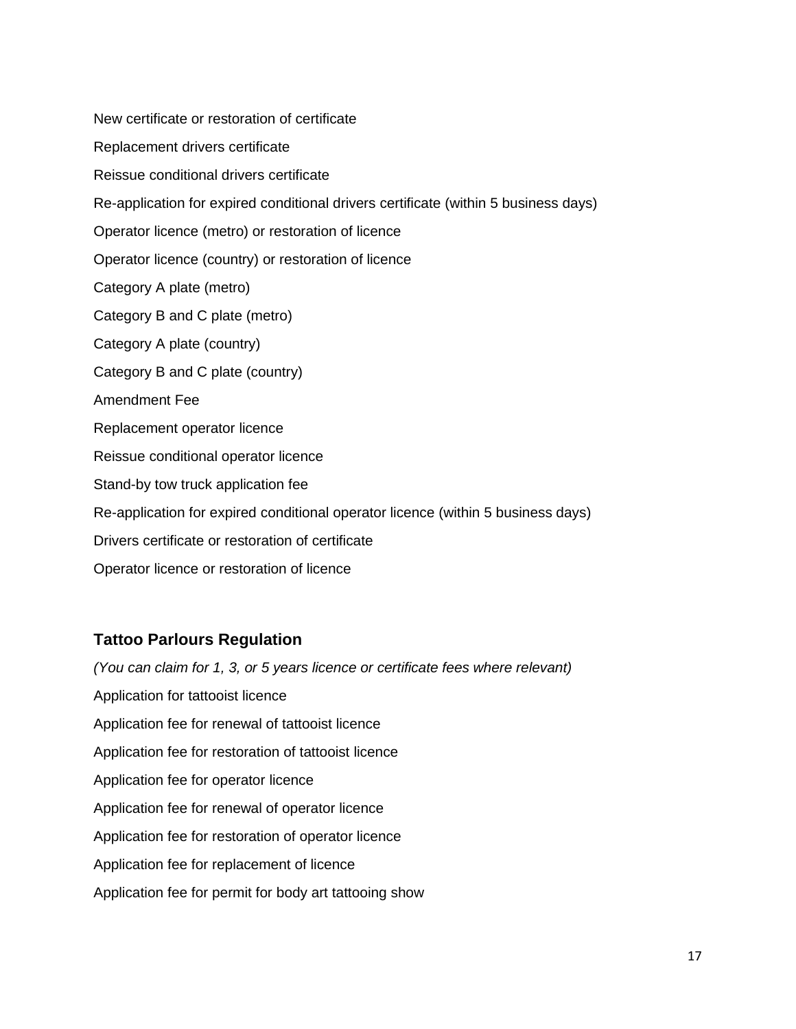New certificate or restoration of certificate Replacement drivers certificate Reissue conditional drivers certificate Re-application for expired conditional drivers certificate (within 5 business days) Operator licence (metro) or restoration of licence Operator licence (country) or restoration of licence Category A plate (metro) Category B and C plate (metro) Category A plate (country) Category B and C plate (country) Amendment Fee Replacement operator licence Reissue conditional operator licence Stand-by tow truck application fee Re-application for expired conditional operator licence (within 5 business days) Drivers certificate or restoration of certificate Operator licence or restoration of licence

#### <span id="page-16-0"></span>**Tattoo Parlours Regulation**

*(You can claim for 1, 3, or 5 years licence or certificate fees where relevant)* Application for tattooist licence Application fee for renewal of tattooist licence Application fee for restoration of tattooist licence Application fee for operator licence Application fee for renewal of operator licence Application fee for restoration of operator licence Application fee for replacement of licence Application fee for permit for body art tattooing show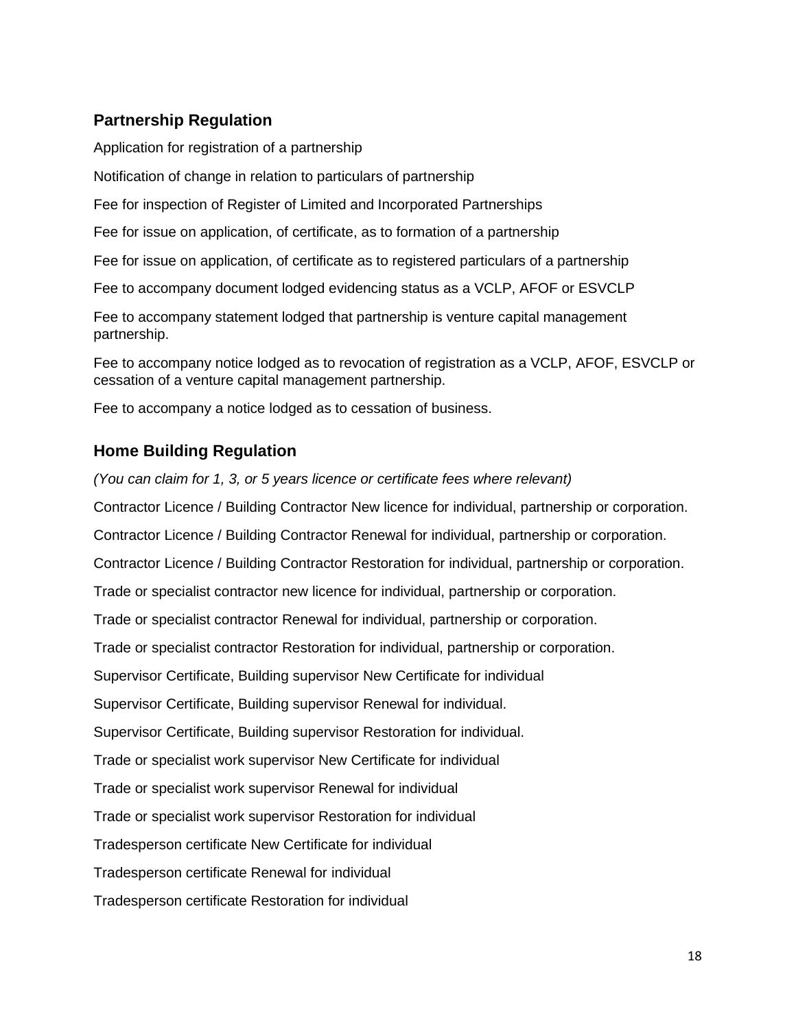#### <span id="page-17-0"></span>**Partnership Regulation**

Application for registration of a partnership

Notification of change in relation to particulars of partnership

Fee for inspection of Register of Limited and Incorporated Partnerships

Fee for issue on application, of certificate, as to formation of a partnership

Fee for issue on application, of certificate as to registered particulars of a partnership

Fee to accompany document lodged evidencing status as a VCLP, AFOF or ESVCLP

Fee to accompany statement lodged that partnership is venture capital management partnership.

Fee to accompany notice lodged as to revocation of registration as a VCLP, AFOF, ESVCLP or cessation of a venture capital management partnership.

Fee to accompany a notice lodged as to cessation of business.

#### <span id="page-17-1"></span>**Home Building Regulation**

*(You can claim for 1, 3, or 5 years licence or certificate fees where relevant)*

Contractor Licence / Building Contractor New licence for individual, partnership or corporation.

Contractor Licence / Building Contractor Renewal for individual, partnership or corporation.

Contractor Licence / Building Contractor Restoration for individual, partnership or corporation.

Trade or specialist contractor new licence for individual, partnership or corporation.

Trade or specialist contractor Renewal for individual, partnership or corporation.

Trade or specialist contractor Restoration for individual, partnership or corporation.

Supervisor Certificate, Building supervisor New Certificate for individual

Supervisor Certificate, Building supervisor Renewal for individual.

Supervisor Certificate, Building supervisor Restoration for individual.

Trade or specialist work supervisor New Certificate for individual

Trade or specialist work supervisor Renewal for individual

Trade or specialist work supervisor Restoration for individual

Tradesperson certificate New Certificate for individual

Tradesperson certificate Renewal for individual

Tradesperson certificate Restoration for individual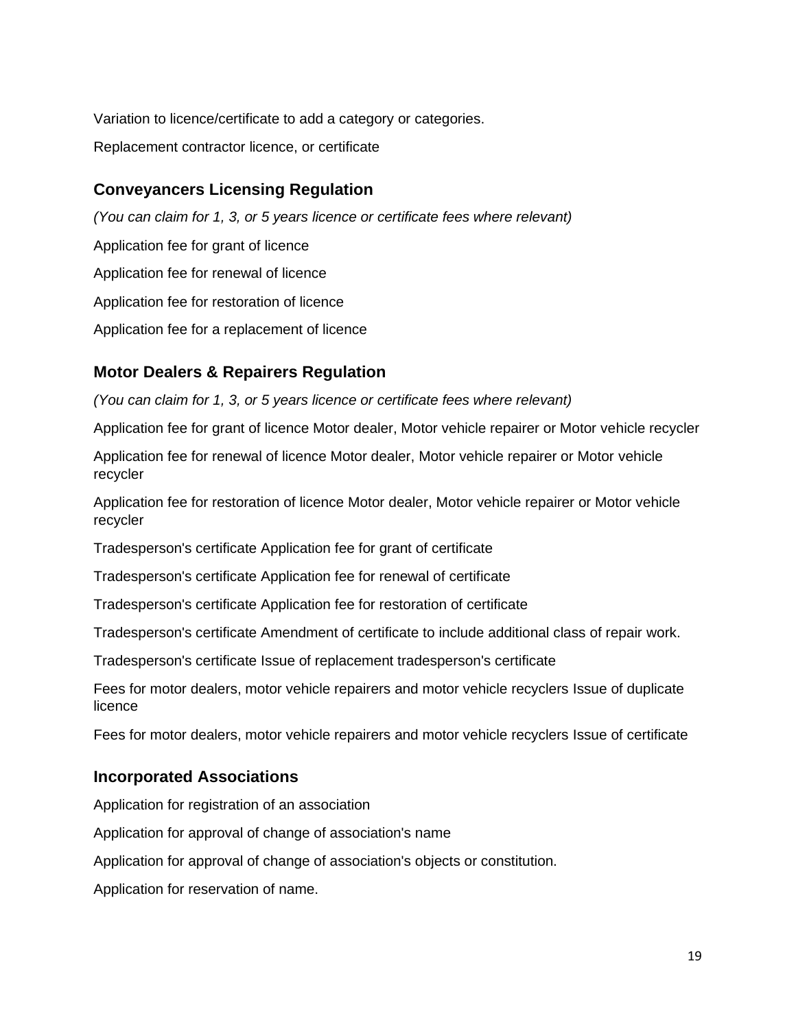Variation to licence/certificate to add a category or categories. Replacement contractor licence, or certificate

#### <span id="page-18-0"></span>**Conveyancers Licensing Regulation**

*(You can claim for 1, 3, or 5 years licence or certificate fees where relevant)* Application fee for grant of licence Application fee for renewal of licence Application fee for restoration of licence Application fee for a replacement of licence

#### <span id="page-18-1"></span>**Motor Dealers & Repairers Regulation**

*(You can claim for 1, 3, or 5 years licence or certificate fees where relevant)*

Application fee for grant of licence Motor dealer, Motor vehicle repairer or Motor vehicle recycler

Application fee for renewal of licence Motor dealer, Motor vehicle repairer or Motor vehicle recycler

Application fee for restoration of licence Motor dealer, Motor vehicle repairer or Motor vehicle recycler

Tradesperson's certificate Application fee for grant of certificate

Tradesperson's certificate Application fee for renewal of certificate

Tradesperson's certificate Application fee for restoration of certificate

Tradesperson's certificate Amendment of certificate to include additional class of repair work.

Tradesperson's certificate Issue of replacement tradesperson's certificate

Fees for motor dealers, motor vehicle repairers and motor vehicle recyclers Issue of duplicate licence

Fees for motor dealers, motor vehicle repairers and motor vehicle recyclers Issue of certificate

#### <span id="page-18-2"></span>**Incorporated Associations**

Application for registration of an association

Application for approval of change of association's name

Application for approval of change of association's objects or constitution.

Application for reservation of name.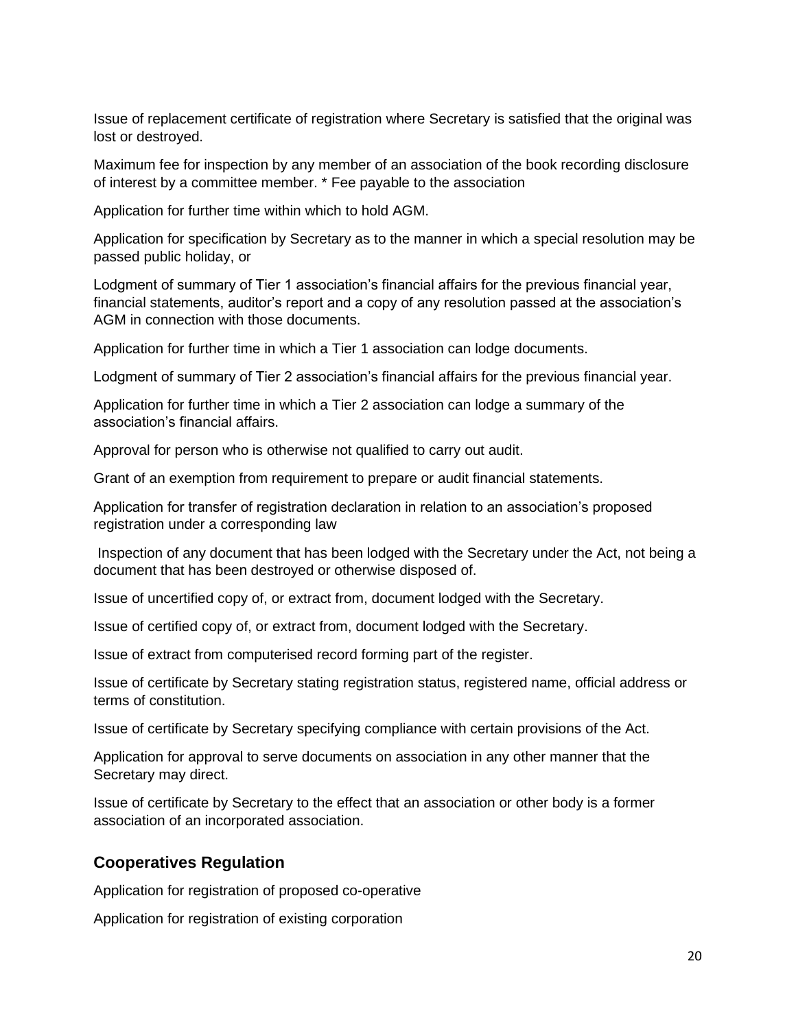Issue of replacement certificate of registration where Secretary is satisfied that the original was lost or destroyed.

Maximum fee for inspection by any member of an association of the book recording disclosure of interest by a committee member. \* Fee payable to the association

Application for further time within which to hold AGM.

Application for specification by Secretary as to the manner in which a special resolution may be passed public holiday, or

Lodgment of summary of Tier 1 association's financial affairs for the previous financial year, financial statements, auditor's report and a copy of any resolution passed at the association's AGM in connection with those documents.

Application for further time in which a Tier 1 association can lodge documents.

Lodgment of summary of Tier 2 association's financial affairs for the previous financial year.

Application for further time in which a Tier 2 association can lodge a summary of the association's financial affairs.

Approval for person who is otherwise not qualified to carry out audit.

Grant of an exemption from requirement to prepare or audit financial statements.

Application for transfer of registration declaration in relation to an association's proposed registration under a corresponding law

Inspection of any document that has been lodged with the Secretary under the Act, not being a document that has been destroyed or otherwise disposed of.

Issue of uncertified copy of, or extract from, document lodged with the Secretary.

Issue of certified copy of, or extract from, document lodged with the Secretary.

Issue of extract from computerised record forming part of the register.

Issue of certificate by Secretary stating registration status, registered name, official address or terms of constitution.

Issue of certificate by Secretary specifying compliance with certain provisions of the Act.

Application for approval to serve documents on association in any other manner that the Secretary may direct.

Issue of certificate by Secretary to the effect that an association or other body is a former association of an incorporated association.

#### <span id="page-19-0"></span>**Cooperatives Regulation**

Application for registration of proposed co-operative

Application for registration of existing corporation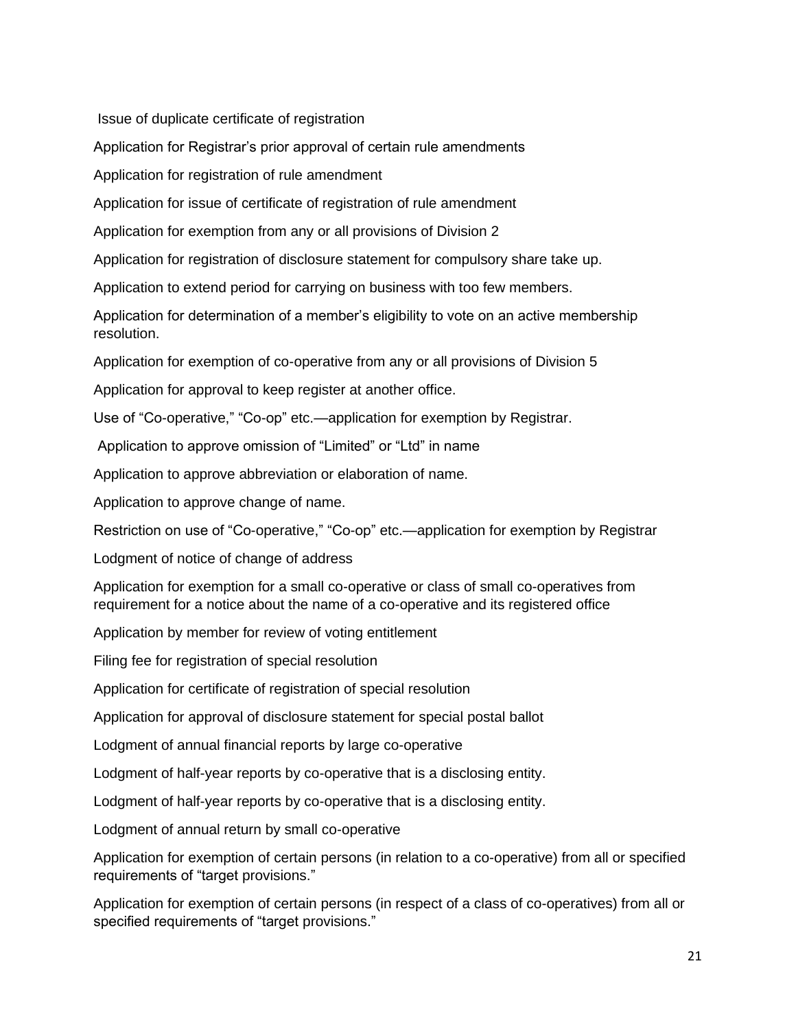Issue of duplicate certificate of registration

Application for Registrar's prior approval of certain rule amendments

Application for registration of rule amendment

Application for issue of certificate of registration of rule amendment

Application for exemption from any or all provisions of Division 2

Application for registration of disclosure statement for compulsory share take up.

Application to extend period for carrying on business with too few members.

Application for determination of a member's eligibility to vote on an active membership resolution.

Application for exemption of co-operative from any or all provisions of Division 5

Application for approval to keep register at another office.

Use of "Co-operative," "Co-op" etc.—application for exemption by Registrar.

Application to approve omission of "Limited" or "Ltd" in name

Application to approve abbreviation or elaboration of name.

Application to approve change of name.

Restriction on use of "Co-operative," "Co-op" etc.—application for exemption by Registrar

Lodgment of notice of change of address

Application for exemption for a small co-operative or class of small co-operatives from requirement for a notice about the name of a co-operative and its registered office

Application by member for review of voting entitlement

Filing fee for registration of special resolution

Application for certificate of registration of special resolution

Application for approval of disclosure statement for special postal ballot

Lodgment of annual financial reports by large co-operative

Lodgment of half-year reports by co-operative that is a disclosing entity.

Lodgment of half-year reports by co-operative that is a disclosing entity.

Lodgment of annual return by small co-operative

Application for exemption of certain persons (in relation to a co-operative) from all or specified requirements of "target provisions."

Application for exemption of certain persons (in respect of a class of co-operatives) from all or specified requirements of "target provisions."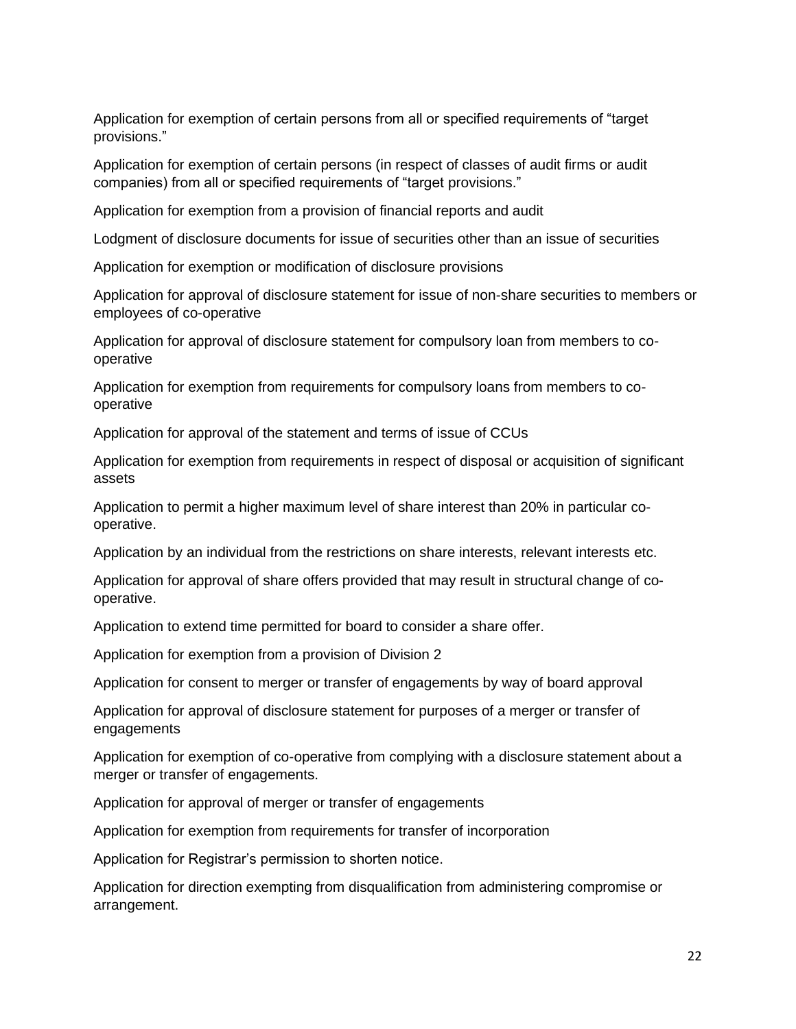Application for exemption of certain persons from all or specified requirements of "target provisions."

Application for exemption of certain persons (in respect of classes of audit firms or audit companies) from all or specified requirements of "target provisions."

Application for exemption from a provision of financial reports and audit

Lodgment of disclosure documents for issue of securities other than an issue of securities

Application for exemption or modification of disclosure provisions

Application for approval of disclosure statement for issue of non-share securities to members or employees of co-operative

Application for approval of disclosure statement for compulsory loan from members to cooperative

Application for exemption from requirements for compulsory loans from members to cooperative

Application for approval of the statement and terms of issue of CCUs

Application for exemption from requirements in respect of disposal or acquisition of significant assets

Application to permit a higher maximum level of share interest than 20% in particular cooperative.

Application by an individual from the restrictions on share interests, relevant interests etc.

Application for approval of share offers provided that may result in structural change of cooperative.

Application to extend time permitted for board to consider a share offer.

Application for exemption from a provision of Division 2

Application for consent to merger or transfer of engagements by way of board approval

Application for approval of disclosure statement for purposes of a merger or transfer of engagements

Application for exemption of co-operative from complying with a disclosure statement about a merger or transfer of engagements.

Application for approval of merger or transfer of engagements

Application for exemption from requirements for transfer of incorporation

Application for Registrar's permission to shorten notice.

Application for direction exempting from disqualification from administering compromise or arrangement.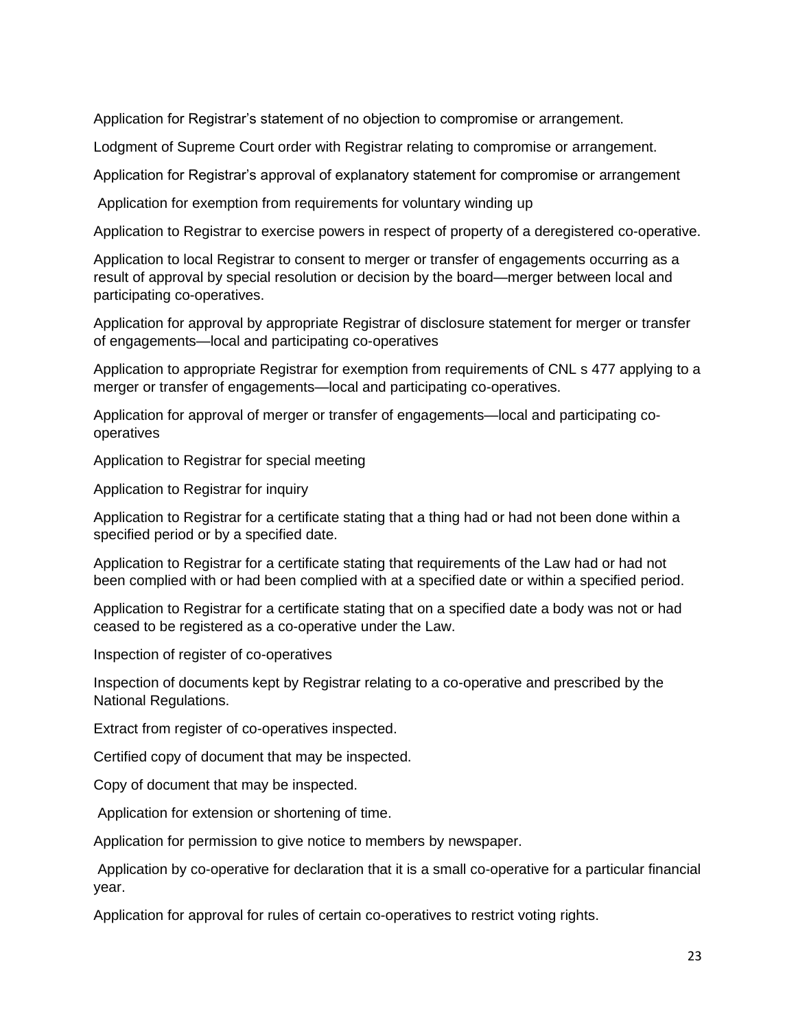Application for Registrar's statement of no objection to compromise or arrangement.

Lodgment of Supreme Court order with Registrar relating to compromise or arrangement.

Application for Registrar's approval of explanatory statement for compromise or arrangement

Application for exemption from requirements for voluntary winding up

Application to Registrar to exercise powers in respect of property of a deregistered co-operative.

Application to local Registrar to consent to merger or transfer of engagements occurring as a result of approval by special resolution or decision by the board—merger between local and participating co-operatives.

Application for approval by appropriate Registrar of disclosure statement for merger or transfer of engagements—local and participating co-operatives

Application to appropriate Registrar for exemption from requirements of CNL s 477 applying to a merger or transfer of engagements—local and participating co-operatives.

Application for approval of merger or transfer of engagements—local and participating cooperatives

Application to Registrar for special meeting

Application to Registrar for inquiry

Application to Registrar for a certificate stating that a thing had or had not been done within a specified period or by a specified date.

Application to Registrar for a certificate stating that requirements of the Law had or had not been complied with or had been complied with at a specified date or within a specified period.

Application to Registrar for a certificate stating that on a specified date a body was not or had ceased to be registered as a co-operative under the Law.

Inspection of register of co-operatives

Inspection of documents kept by Registrar relating to a co-operative and prescribed by the National Regulations.

Extract from register of co-operatives inspected.

Certified copy of document that may be inspected.

Copy of document that may be inspected.

Application for extension or shortening of time.

Application for permission to give notice to members by newspaper.

Application by co-operative for declaration that it is a small co-operative for a particular financial year.

Application for approval for rules of certain co-operatives to restrict voting rights.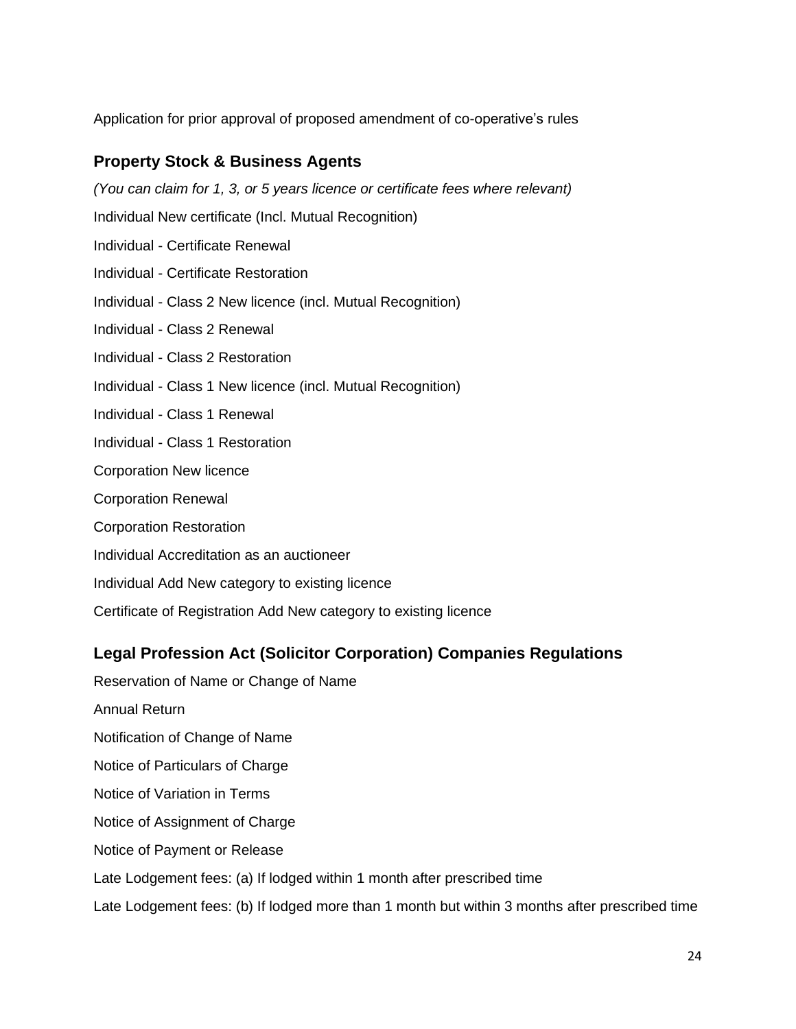Application for prior approval of proposed amendment of co-operative's rules

#### <span id="page-23-0"></span>**Property Stock & Business Agents**

*(You can claim for 1, 3, or 5 years licence or certificate fees where relevant)*

Individual New certificate (Incl. Mutual Recognition)

- Individual Certificate Renewal
- Individual Certificate Restoration
- Individual Class 2 New licence (incl. Mutual Recognition)
- Individual Class 2 Renewal
- Individual Class 2 Restoration
- Individual Class 1 New licence (incl. Mutual Recognition)
- Individual Class 1 Renewal
- Individual Class 1 Restoration
- Corporation New licence
- Corporation Renewal
- Corporation Restoration
- Individual Accreditation as an auctioneer
- Individual Add New category to existing licence
- Certificate of Registration Add New category to existing licence

#### <span id="page-23-1"></span>**Legal Profession Act (Solicitor Corporation) Companies Regulations**

- Reservation of Name or Change of Name
- Annual Return
- Notification of Change of Name
- Notice of Particulars of Charge
- Notice of Variation in Terms
- Notice of Assignment of Charge
- Notice of Payment or Release
- Late Lodgement fees: (a) If lodged within 1 month after prescribed time
- Late Lodgement fees: (b) If lodged more than 1 month but within 3 months after prescribed time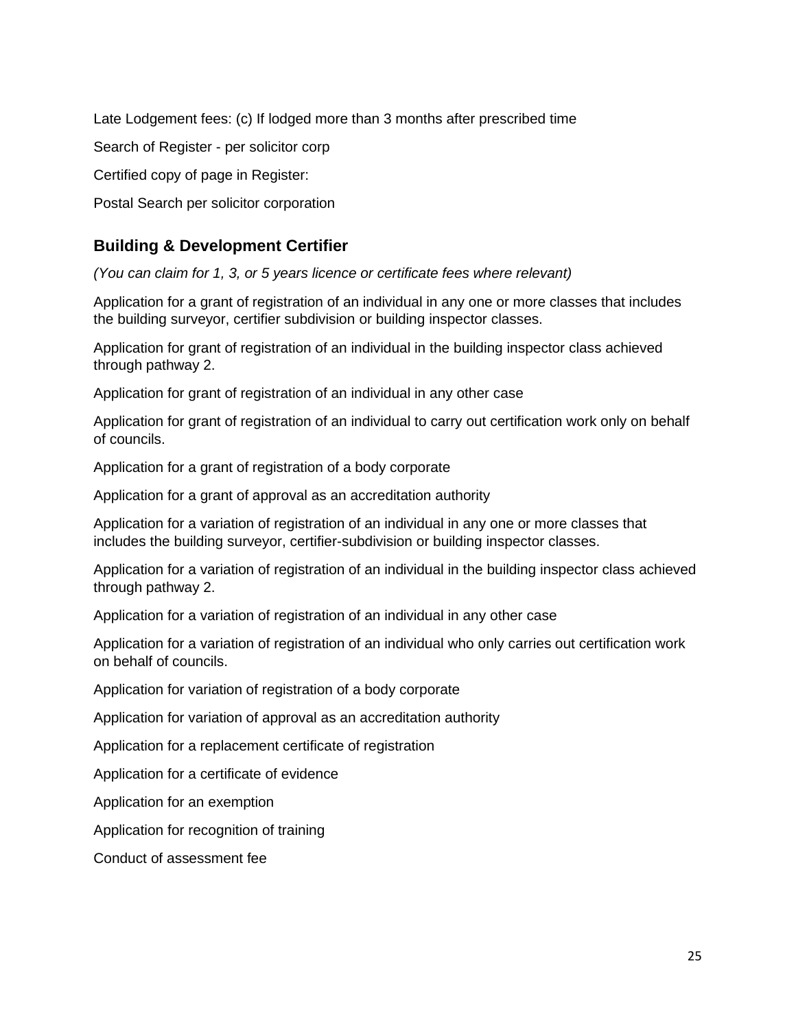Late Lodgement fees: (c) If lodged more than 3 months after prescribed time

Search of Register - per solicitor corp

Certified copy of page in Register:

Postal Search per solicitor corporation

#### <span id="page-24-0"></span>**Building & Development Certifier**

*(You can claim for 1, 3, or 5 years licence or certificate fees where relevant)*

Application for a grant of registration of an individual in any one or more classes that includes the building surveyor, certifier subdivision or building inspector classes.

Application for grant of registration of an individual in the building inspector class achieved through pathway 2.

Application for grant of registration of an individual in any other case

Application for grant of registration of an individual to carry out certification work only on behalf of councils.

Application for a grant of registration of a body corporate

Application for a grant of approval as an accreditation authority

Application for a variation of registration of an individual in any one or more classes that includes the building surveyor, certifier-subdivision or building inspector classes.

Application for a variation of registration of an individual in the building inspector class achieved through pathway 2.

Application for a variation of registration of an individual in any other case

Application for a variation of registration of an individual who only carries out certification work on behalf of councils.

Application for variation of registration of a body corporate

Application for variation of approval as an accreditation authority

Application for a replacement certificate of registration

Application for a certificate of evidence

Application for an exemption

Application for recognition of training

Conduct of assessment fee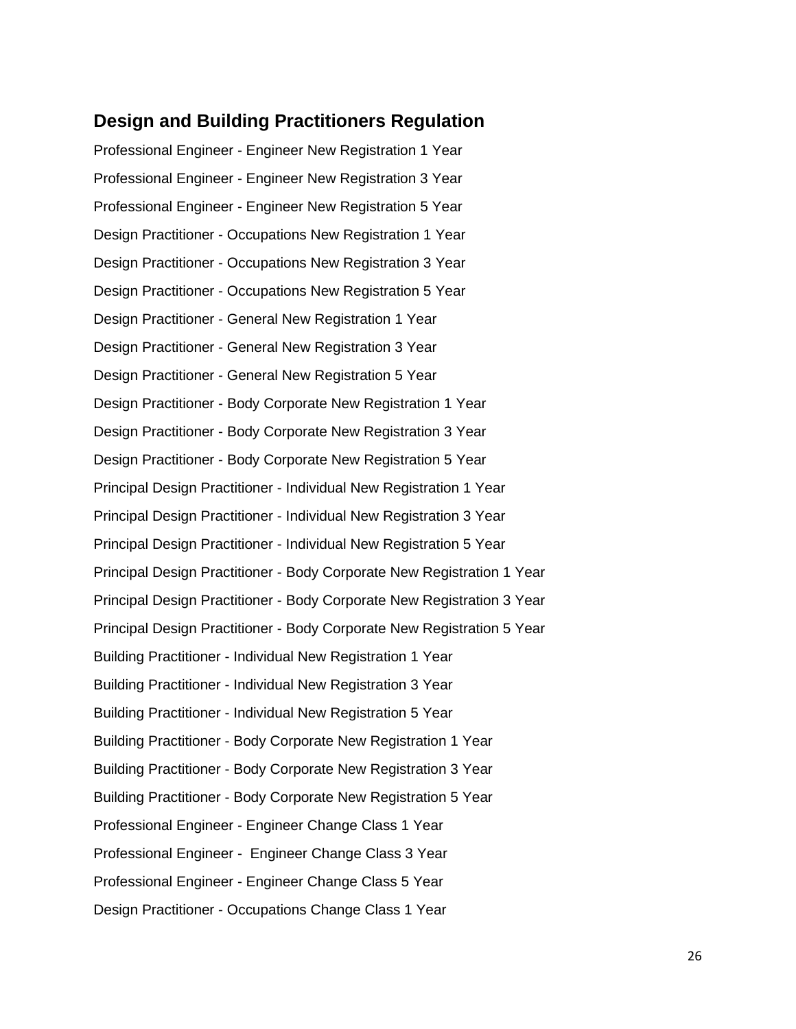#### <span id="page-25-0"></span>**Design and Building Practitioners Regulation**

Professional Engineer - Engineer New Registration 1 Year Professional Engineer - Engineer New Registration 3 Year Professional Engineer - Engineer New Registration 5 Year Design Practitioner - Occupations New Registration 1 Year Design Practitioner - Occupations New Registration 3 Year Design Practitioner - Occupations New Registration 5 Year Design Practitioner - General New Registration 1 Year Design Practitioner - General New Registration 3 Year Design Practitioner - General New Registration 5 Year Design Practitioner - Body Corporate New Registration 1 Year Design Practitioner - Body Corporate New Registration 3 Year Design Practitioner - Body Corporate New Registration 5 Year Principal Design Practitioner - Individual New Registration 1 Year Principal Design Practitioner - Individual New Registration 3 Year Principal Design Practitioner - Individual New Registration 5 Year Principal Design Practitioner - Body Corporate New Registration 1 Year Principal Design Practitioner - Body Corporate New Registration 3 Year Principal Design Practitioner - Body Corporate New Registration 5 Year Building Practitioner - Individual New Registration 1 Year Building Practitioner - Individual New Registration 3 Year Building Practitioner - Individual New Registration 5 Year Building Practitioner - Body Corporate New Registration 1 Year Building Practitioner - Body Corporate New Registration 3 Year Building Practitioner - Body Corporate New Registration 5 Year Professional Engineer - Engineer Change Class 1 Year Professional Engineer - Engineer Change Class 3 Year Professional Engineer - Engineer Change Class 5 Year Design Practitioner - Occupations Change Class 1 Year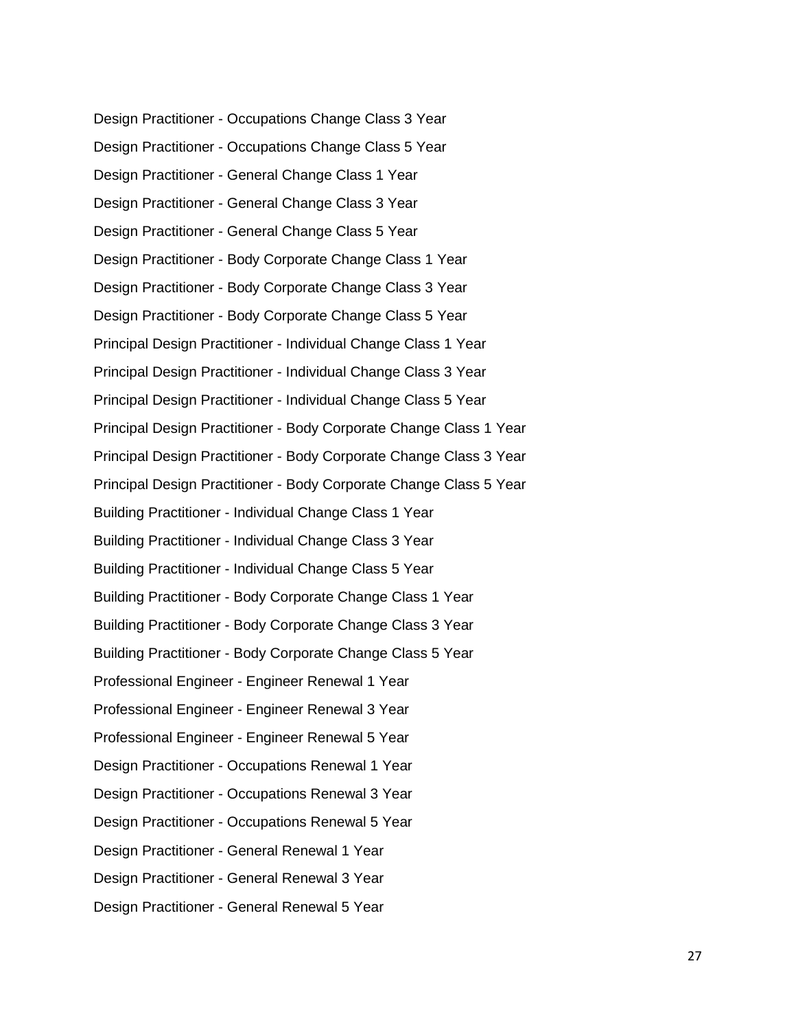Design Practitioner - Occupations Change Class 3 Year Design Practitioner - Occupations Change Class 5 Year Design Practitioner - General Change Class 1 Year Design Practitioner - General Change Class 3 Year Design Practitioner - General Change Class 5 Year Design Practitioner - Body Corporate Change Class 1 Year Design Practitioner - Body Corporate Change Class 3 Year Design Practitioner - Body Corporate Change Class 5 Year Principal Design Practitioner - Individual Change Class 1 Year Principal Design Practitioner - Individual Change Class 3 Year Principal Design Practitioner - Individual Change Class 5 Year Principal Design Practitioner - Body Corporate Change Class 1 Year Principal Design Practitioner - Body Corporate Change Class 3 Year Principal Design Practitioner - Body Corporate Change Class 5 Year Building Practitioner - Individual Change Class 1 Year Building Practitioner - Individual Change Class 3 Year Building Practitioner - Individual Change Class 5 Year Building Practitioner - Body Corporate Change Class 1 Year Building Practitioner - Body Corporate Change Class 3 Year Building Practitioner - Body Corporate Change Class 5 Year Professional Engineer - Engineer Renewal 1 Year Professional Engineer - Engineer Renewal 3 Year Professional Engineer - Engineer Renewal 5 Year Design Practitioner - Occupations Renewal 1 Year Design Practitioner - Occupations Renewal 3 Year Design Practitioner - Occupations Renewal 5 Year Design Practitioner - General Renewal 1 Year Design Practitioner - General Renewal 3 Year Design Practitioner - General Renewal 5 Year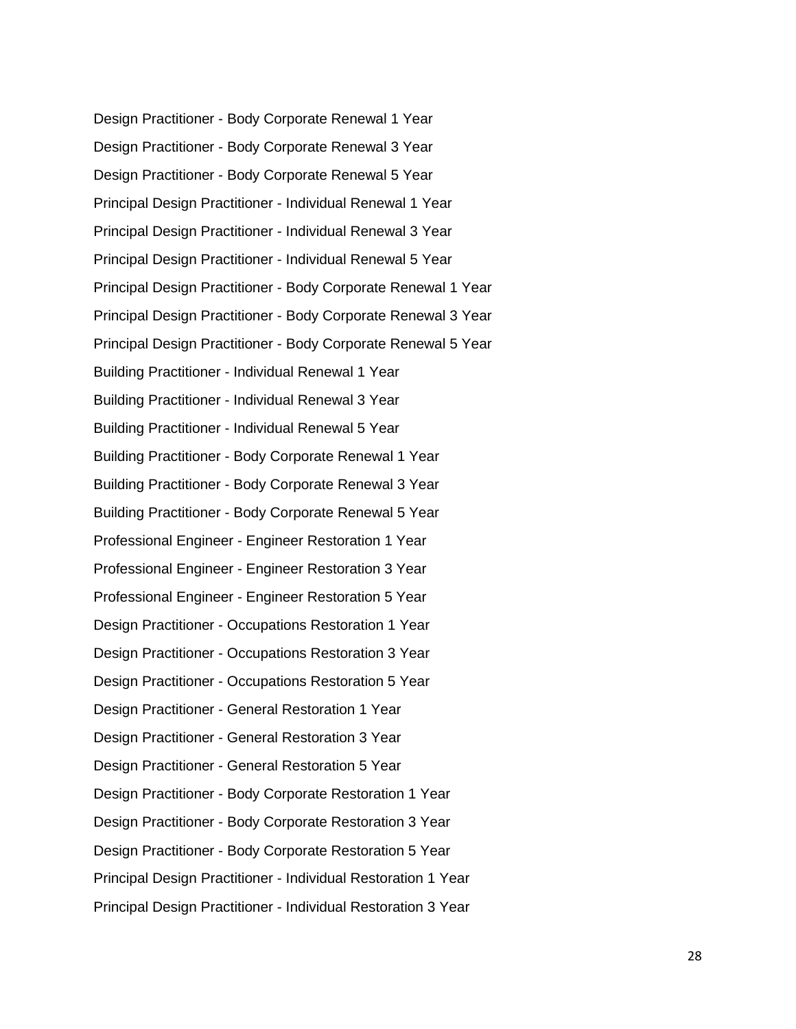Design Practitioner - Body Corporate Renewal 1 Year Design Practitioner - Body Corporate Renewal 3 Year Design Practitioner - Body Corporate Renewal 5 Year Principal Design Practitioner - Individual Renewal 1 Year Principal Design Practitioner - Individual Renewal 3 Year Principal Design Practitioner - Individual Renewal 5 Year Principal Design Practitioner - Body Corporate Renewal 1 Year Principal Design Practitioner - Body Corporate Renewal 3 Year Principal Design Practitioner - Body Corporate Renewal 5 Year Building Practitioner - Individual Renewal 1 Year Building Practitioner - Individual Renewal 3 Year Building Practitioner - Individual Renewal 5 Year Building Practitioner - Body Corporate Renewal 1 Year Building Practitioner - Body Corporate Renewal 3 Year Building Practitioner - Body Corporate Renewal 5 Year Professional Engineer - Engineer Restoration 1 Year Professional Engineer - Engineer Restoration 3 Year Professional Engineer - Engineer Restoration 5 Year Design Practitioner - Occupations Restoration 1 Year Design Practitioner - Occupations Restoration 3 Year Design Practitioner - Occupations Restoration 5 Year Design Practitioner - General Restoration 1 Year Design Practitioner - General Restoration 3 Year Design Practitioner - General Restoration 5 Year Design Practitioner - Body Corporate Restoration 1 Year Design Practitioner - Body Corporate Restoration 3 Year Design Practitioner - Body Corporate Restoration 5 Year Principal Design Practitioner - Individual Restoration 1 Year Principal Design Practitioner - Individual Restoration 3 Year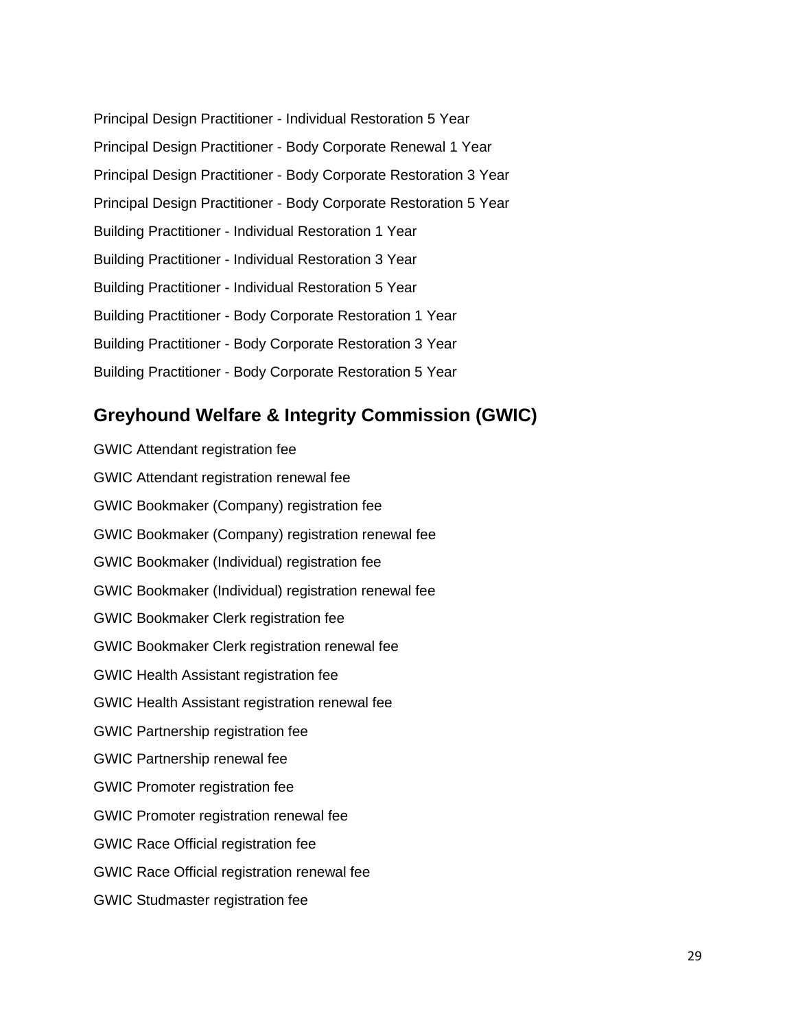| Principal Design Practitioner - Individual Restoration 5 Year     |
|-------------------------------------------------------------------|
| Principal Design Practitioner - Body Corporate Renewal 1 Year     |
| Principal Design Practitioner - Body Corporate Restoration 3 Year |
| Principal Design Practitioner - Body Corporate Restoration 5 Year |
| Building Practitioner - Individual Restoration 1 Year             |
| Building Practitioner - Individual Restoration 3 Year             |
| Building Practitioner - Individual Restoration 5 Year             |
| Building Practitioner - Body Corporate Restoration 1 Year         |
| Building Practitioner - Body Corporate Restoration 3 Year         |
| Building Practitioner - Body Corporate Restoration 5 Year         |

## <span id="page-28-0"></span>**Greyhound Welfare & Integrity Commission (GWIC)**

GWIC Attendant registration fee GWIC Attendant registration renewal fee GWIC Bookmaker (Company) registration fee GWIC Bookmaker (Company) registration renewal fee GWIC Bookmaker (Individual) registration fee GWIC Bookmaker (Individual) registration renewal fee GWIC Bookmaker Clerk registration fee GWIC Bookmaker Clerk registration renewal fee GWIC Health Assistant registration fee GWIC Health Assistant registration renewal fee GWIC Partnership registration fee GWIC Partnership renewal fee GWIC Promoter registration fee GWIC Promoter registration renewal fee GWIC Race Official registration fee GWIC Race Official registration renewal fee GWIC Studmaster registration fee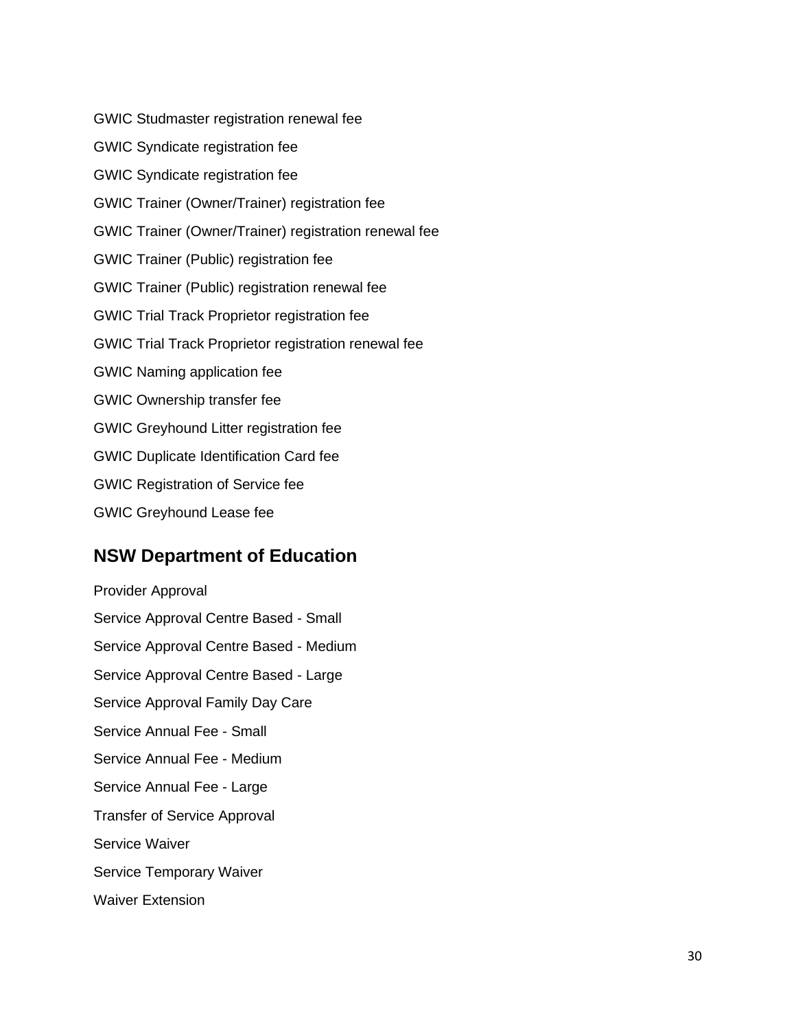GWIC Studmaster registration renewal fee GWIC Syndicate registration fee GWIC Syndicate registration fee GWIC Trainer (Owner/Trainer) registration fee GWIC Trainer (Owner/Trainer) registration renewal fee GWIC Trainer (Public) registration fee GWIC Trainer (Public) registration renewal fee GWIC Trial Track Proprietor registration fee GWIC Trial Track Proprietor registration renewal fee GWIC Naming application fee GWIC Ownership transfer fee GWIC Greyhound Litter registration fee GWIC Duplicate Identification Card fee GWIC Registration of Service fee GWIC Greyhound Lease fee

#### <span id="page-29-0"></span>**NSW Department of Education**

Provider Approval Service Approval Centre Based - Small Service Approval Centre Based - Medium Service Approval Centre Based - Large Service Approval Family Day Care Service Annual Fee - Small Service Annual Fee - Medium Service Annual Fee - Large Transfer of Service Approval Service Waiver Service Temporary Waiver Waiver Extension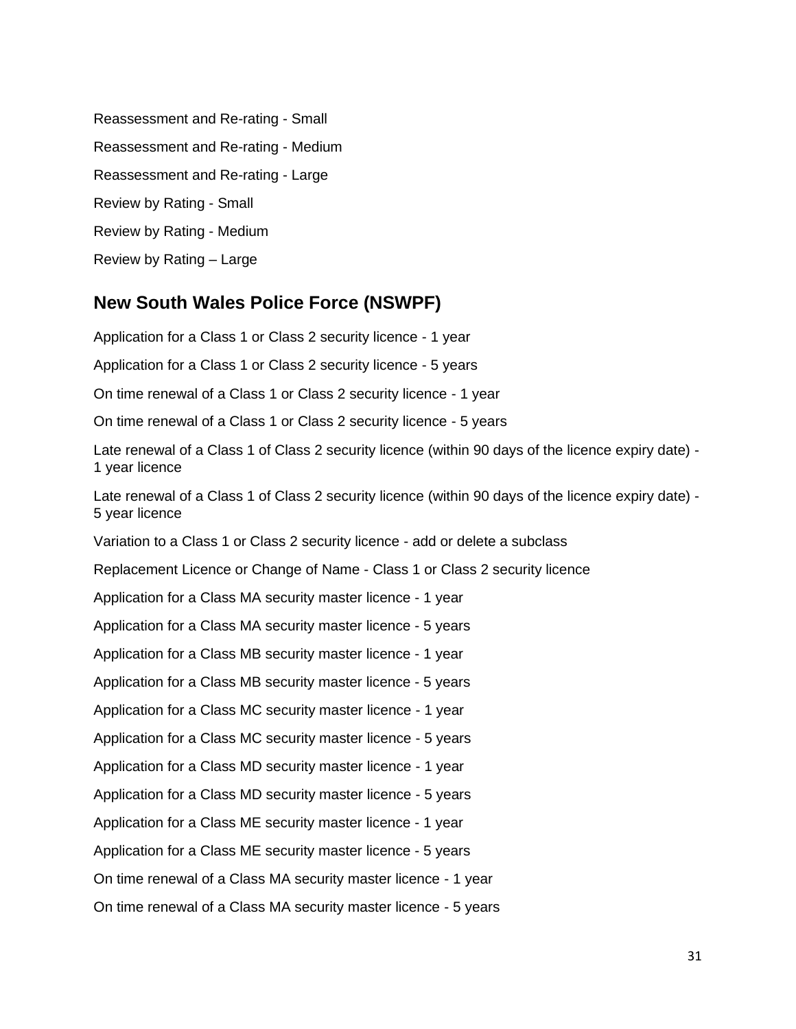Reassessment and Re-rating - Small Reassessment and Re-rating - Medium Reassessment and Re-rating - Large Review by Rating - Small Review by Rating - Medium Review by Rating – Large

## <span id="page-30-0"></span>**New South Wales Police Force (NSWPF)**

Application for a Class 1 or Class 2 security licence - 1 year Application for a Class 1 or Class 2 security licence - 5 years On time renewal of a Class 1 or Class 2 security licence - 1 year On time renewal of a Class 1 or Class 2 security licence - 5 years Late renewal of a Class 1 of Class 2 security licence (within 90 days of the licence expiry date) - 1 year licence Late renewal of a Class 1 of Class 2 security licence (within 90 days of the licence expiry date) -5 year licence Variation to a Class 1 or Class 2 security licence - add or delete a subclass Replacement Licence or Change of Name - Class 1 or Class 2 security licence Application for a Class MA security master licence - 1 year Application for a Class MA security master licence - 5 years Application for a Class MB security master licence - 1 year Application for a Class MB security master licence - 5 years Application for a Class MC security master licence - 1 year Application for a Class MC security master licence - 5 years Application for a Class MD security master licence - 1 year Application for a Class MD security master licence - 5 years Application for a Class ME security master licence - 1 year Application for a Class ME security master licence - 5 years On time renewal of a Class MA security master licence - 1 year On time renewal of a Class MA security master licence - 5 years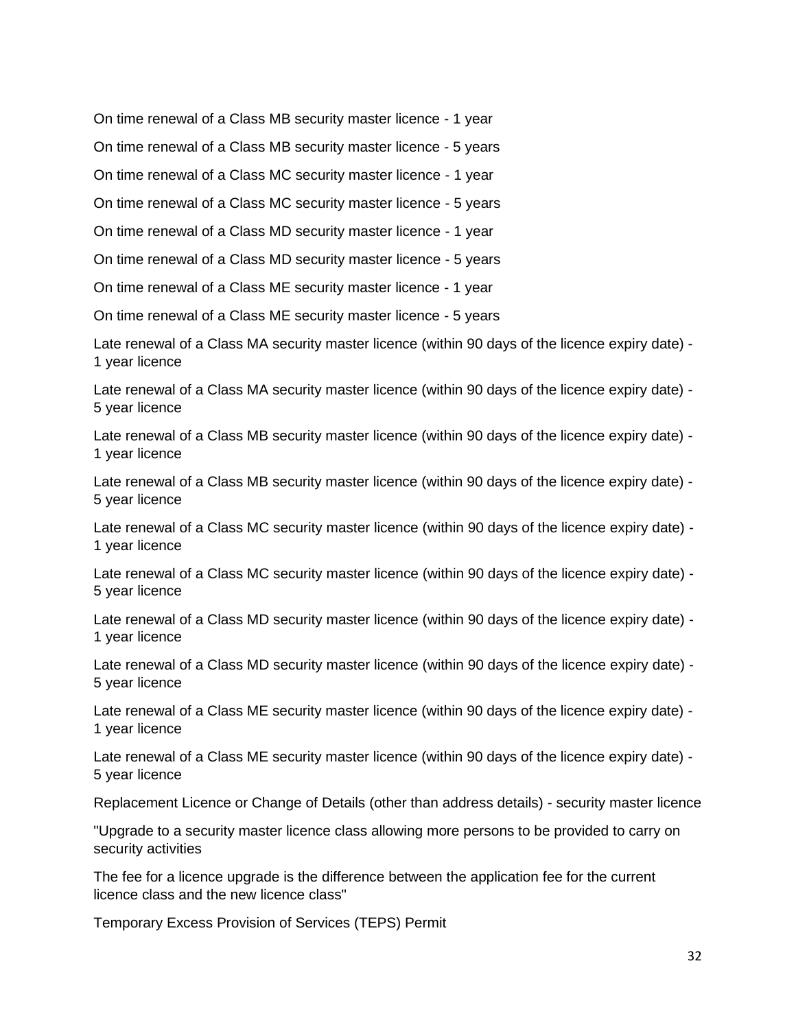On time renewal of a Class MB security master licence - 1 year

On time renewal of a Class MB security master licence - 5 years

On time renewal of a Class MC security master licence - 1 year

On time renewal of a Class MC security master licence - 5 years

On time renewal of a Class MD security master licence - 1 year

On time renewal of a Class MD security master licence - 5 years

On time renewal of a Class ME security master licence - 1 year

On time renewal of a Class ME security master licence - 5 years

Late renewal of a Class MA security master licence (within 90 days of the licence expiry date) - 1 year licence

Late renewal of a Class MA security master licence (within 90 days of the licence expiry date) - 5 year licence

Late renewal of a Class MB security master licence (within 90 days of the licence expiry date) - 1 year licence

Late renewal of a Class MB security master licence (within 90 days of the licence expiry date) - 5 year licence

Late renewal of a Class MC security master licence (within 90 days of the licence expiry date) - 1 year licence

Late renewal of a Class MC security master licence (within 90 days of the licence expiry date) - 5 year licence

Late renewal of a Class MD security master licence (within 90 days of the licence expiry date) - 1 year licence

Late renewal of a Class MD security master licence (within 90 days of the licence expiry date) - 5 year licence

Late renewal of a Class ME security master licence (within 90 days of the licence expiry date) - 1 year licence

Late renewal of a Class ME security master licence (within 90 days of the licence expiry date) - 5 year licence

Replacement Licence or Change of Details (other than address details) - security master licence

"Upgrade to a security master licence class allowing more persons to be provided to carry on security activities

The fee for a licence upgrade is the difference between the application fee for the current licence class and the new licence class"

Temporary Excess Provision of Services (TEPS) Permit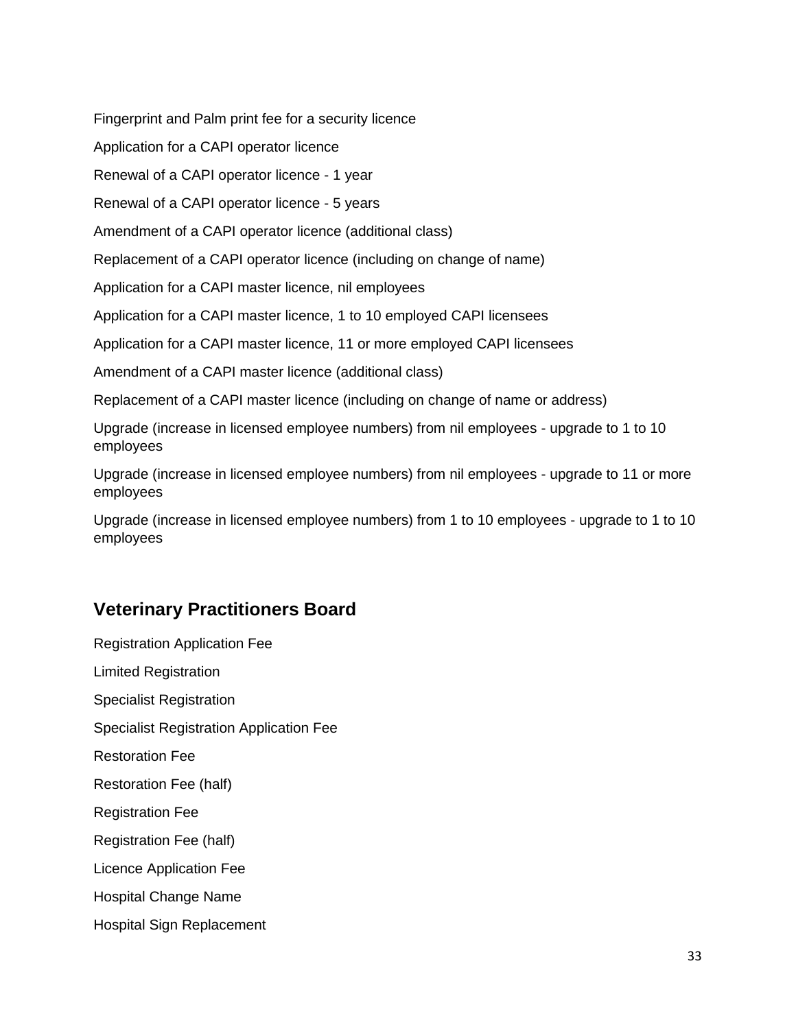Fingerprint and Palm print fee for a security licence

Application for a CAPI operator licence

Renewal of a CAPI operator licence - 1 year

Renewal of a CAPI operator licence - 5 years

Amendment of a CAPI operator licence (additional class)

Replacement of a CAPI operator licence (including on change of name)

Application for a CAPI master licence, nil employees

Application for a CAPI master licence, 1 to 10 employed CAPI licensees

Application for a CAPI master licence, 11 or more employed CAPI licensees

Amendment of a CAPI master licence (additional class)

Replacement of a CAPI master licence (including on change of name or address)

Upgrade (increase in licensed employee numbers) from nil employees - upgrade to 1 to 10 employees

Upgrade (increase in licensed employee numbers) from nil employees - upgrade to 11 or more employees

Upgrade (increase in licensed employee numbers) from 1 to 10 employees - upgrade to 1 to 10 employees

# <span id="page-32-0"></span>**Veterinary Practitioners Board**

Registration Application Fee Limited Registration Specialist Registration Specialist Registration Application Fee Restoration Fee Restoration Fee (half) Registration Fee Registration Fee (half) Licence Application Fee Hospital Change Name Hospital Sign Replacement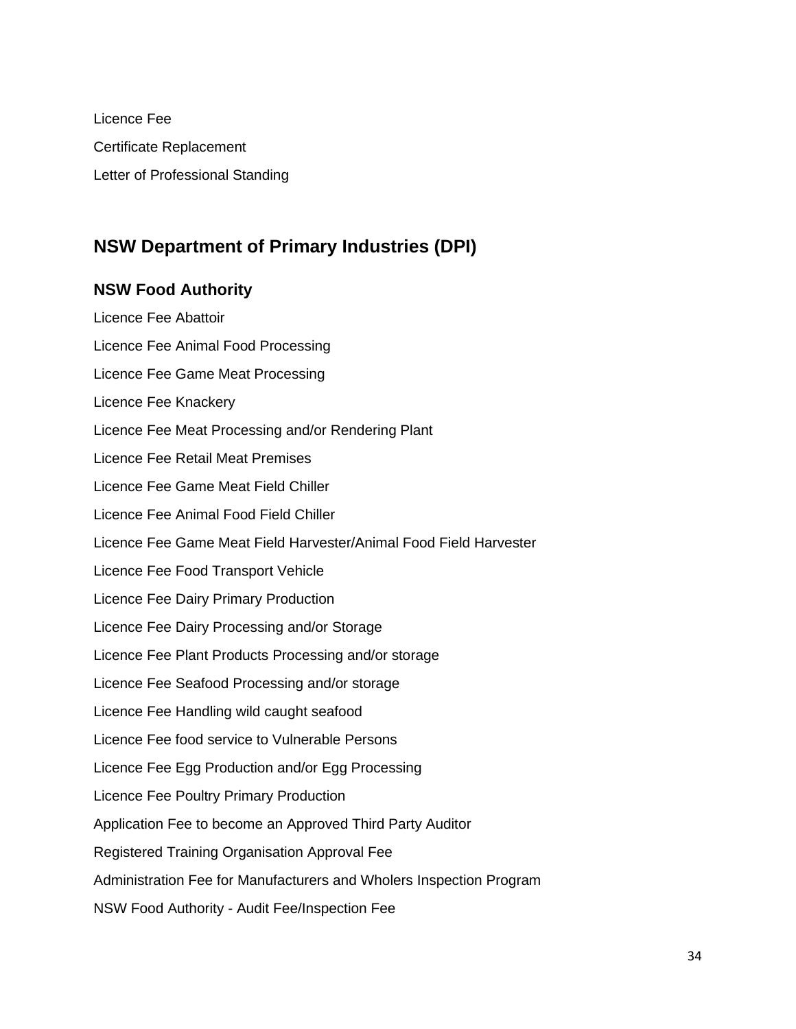Licence Fee Certificate Replacement Letter of Professional Standing

# <span id="page-33-0"></span>**NSW Department of Primary Industries (DPI)**

#### <span id="page-33-1"></span>**NSW Food Authority**

Licence Fee Abattoir Licence Fee Animal Food Processing Licence Fee Game Meat Processing Licence Fee Knackery Licence Fee Meat Processing and/or Rendering Plant Licence Fee Retail Meat Premises Licence Fee Game Meat Field Chiller Licence Fee Animal Food Field Chiller Licence Fee Game Meat Field Harvester/Animal Food Field Harvester Licence Fee Food Transport Vehicle Licence Fee Dairy Primary Production Licence Fee Dairy Processing and/or Storage Licence Fee Plant Products Processing and/or storage Licence Fee Seafood Processing and/or storage Licence Fee Handling wild caught seafood Licence Fee food service to Vulnerable Persons Licence Fee Egg Production and/or Egg Processing Licence Fee Poultry Primary Production Application Fee to become an Approved Third Party Auditor Registered Training Organisation Approval Fee Administration Fee for Manufacturers and Wholers Inspection Program NSW Food Authority - Audit Fee/Inspection Fee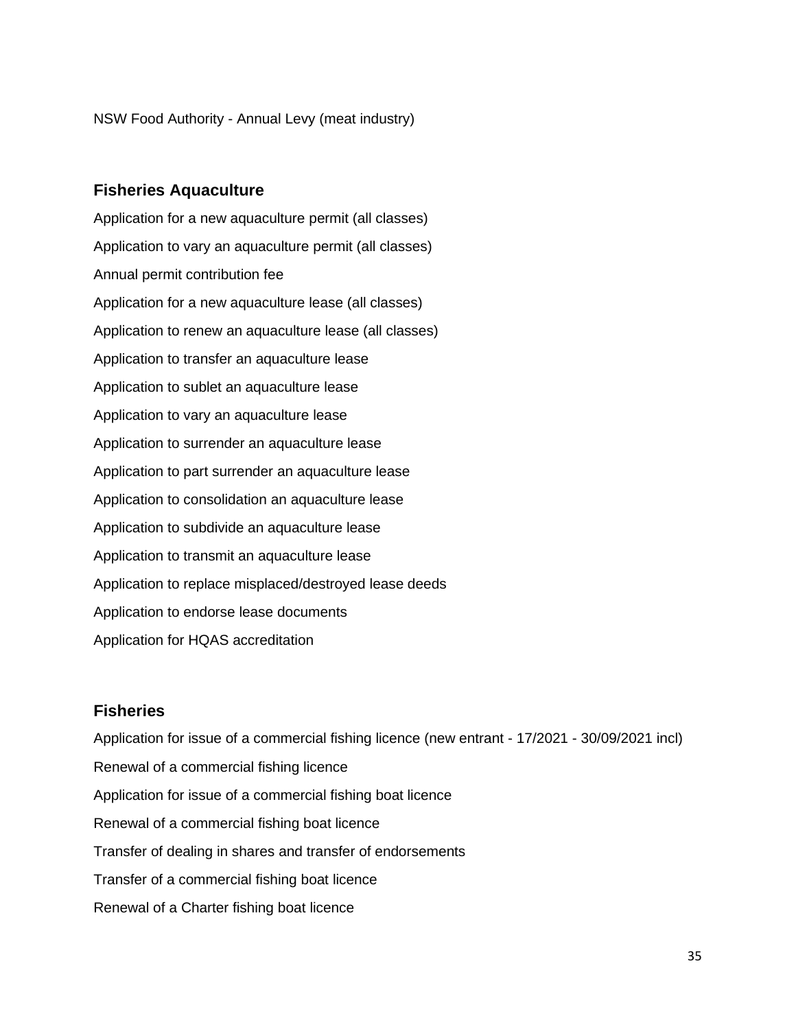NSW Food Authority - Annual Levy (meat industry)

#### <span id="page-34-0"></span>**Fisheries Aquaculture**

Application for a new aquaculture permit (all classes) Application to vary an aquaculture permit (all classes) Annual permit contribution fee Application for a new aquaculture lease (all classes) Application to renew an aquaculture lease (all classes) Application to transfer an aquaculture lease Application to sublet an aquaculture lease Application to vary an aquaculture lease Application to surrender an aquaculture lease Application to part surrender an aquaculture lease Application to consolidation an aquaculture lease Application to subdivide an aquaculture lease Application to transmit an aquaculture lease Application to replace misplaced/destroyed lease deeds Application to endorse lease documents Application for HQAS accreditation

#### <span id="page-34-1"></span>**Fisheries**

Application for issue of a commercial fishing licence (new entrant - 17/2021 - 30/09/2021 incl) Renewal of a commercial fishing licence Application for issue of a commercial fishing boat licence Renewal of a commercial fishing boat licence Transfer of dealing in shares and transfer of endorsements Transfer of a commercial fishing boat licence Renewal of a Charter fishing boat licence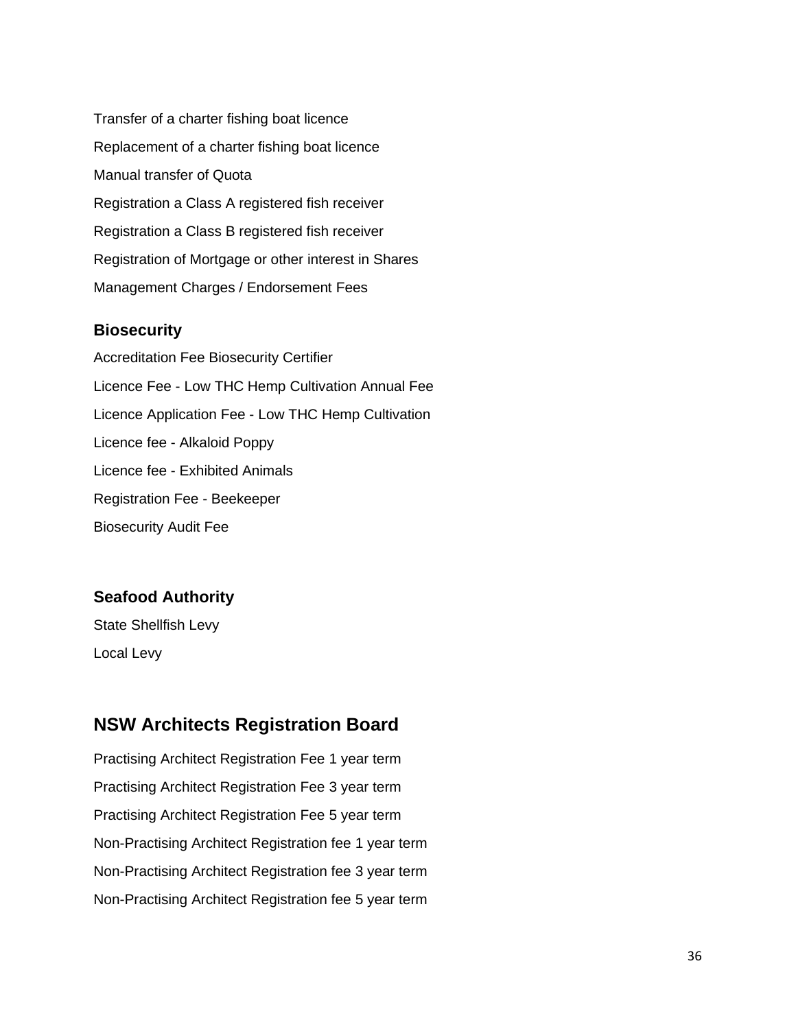Transfer of a charter fishing boat licence Replacement of a charter fishing boat licence Manual transfer of Quota Registration a Class A registered fish receiver Registration a Class B registered fish receiver Registration of Mortgage or other interest in Shares Management Charges / Endorsement Fees

#### <span id="page-35-0"></span>**Biosecurity**

Accreditation Fee Biosecurity Certifier Licence Fee - Low THC Hemp Cultivation Annual Fee Licence Application Fee - Low THC Hemp Cultivation Licence fee - Alkaloid Poppy Licence fee - Exhibited Animals Registration Fee - Beekeeper Biosecurity Audit Fee

#### <span id="page-35-1"></span>**Seafood Authority**

State Shellfish Levy Local Levy

# <span id="page-35-2"></span>**NSW Architects Registration Board**

Practising Architect Registration Fee 1 year term Practising Architect Registration Fee 3 year term Practising Architect Registration Fee 5 year term Non-Practising Architect Registration fee 1 year term Non-Practising Architect Registration fee 3 year term Non-Practising Architect Registration fee 5 year term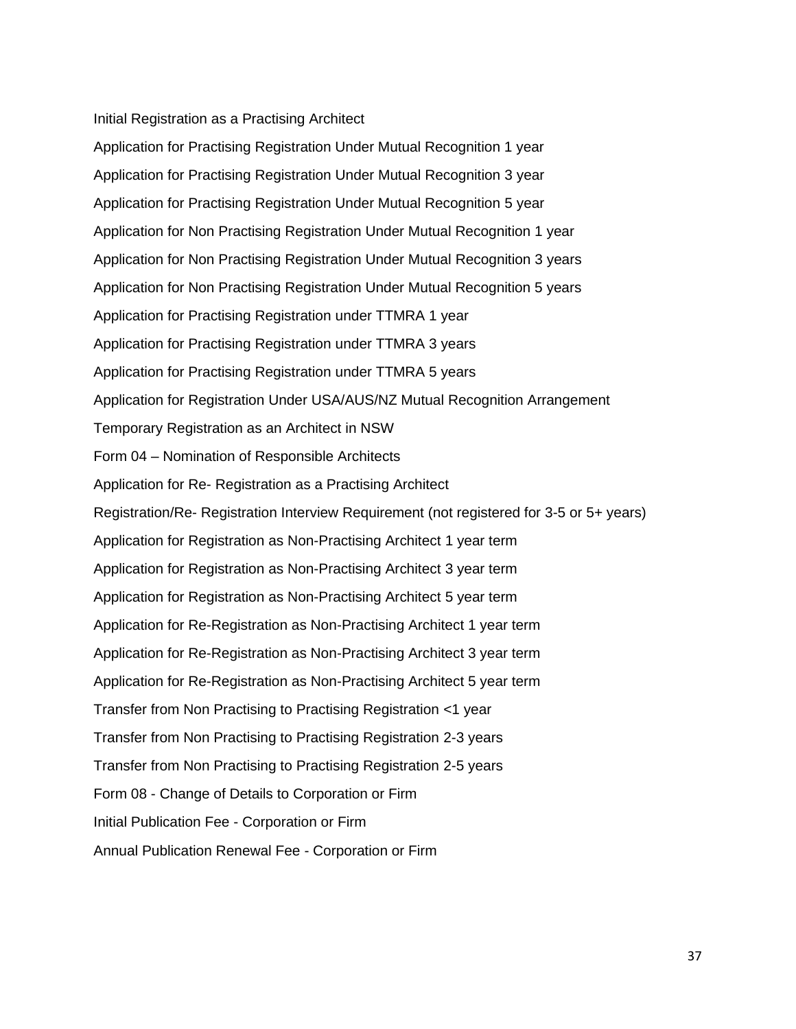Initial Registration as a Practising Architect

Application for Practising Registration Under Mutual Recognition 1 year Application for Practising Registration Under Mutual Recognition 3 year Application for Practising Registration Under Mutual Recognition 5 year Application for Non Practising Registration Under Mutual Recognition 1 year Application for Non Practising Registration Under Mutual Recognition 3 years Application for Non Practising Registration Under Mutual Recognition 5 years Application for Practising Registration under TTMRA 1 year Application for Practising Registration under TTMRA 3 years Application for Practising Registration under TTMRA 5 years Application for Registration Under USA/AUS/NZ Mutual Recognition Arrangement Temporary Registration as an Architect in NSW Form 04 – Nomination of Responsible Architects Application for Re- Registration as a Practising Architect Registration/Re- Registration Interview Requirement (not registered for 3-5 or 5+ years) Application for Registration as Non-Practising Architect 1 year term Application for Registration as Non-Practising Architect 3 year term Application for Registration as Non-Practising Architect 5 year term Application for Re-Registration as Non-Practising Architect 1 year term Application for Re-Registration as Non-Practising Architect 3 year term Application for Re-Registration as Non-Practising Architect 5 year term Transfer from Non Practising to Practising Registration <1 year Transfer from Non Practising to Practising Registration 2-3 years Transfer from Non Practising to Practising Registration 2-5 years Form 08 - Change of Details to Corporation or Firm Initial Publication Fee - Corporation or Firm Annual Publication Renewal Fee - Corporation or Firm